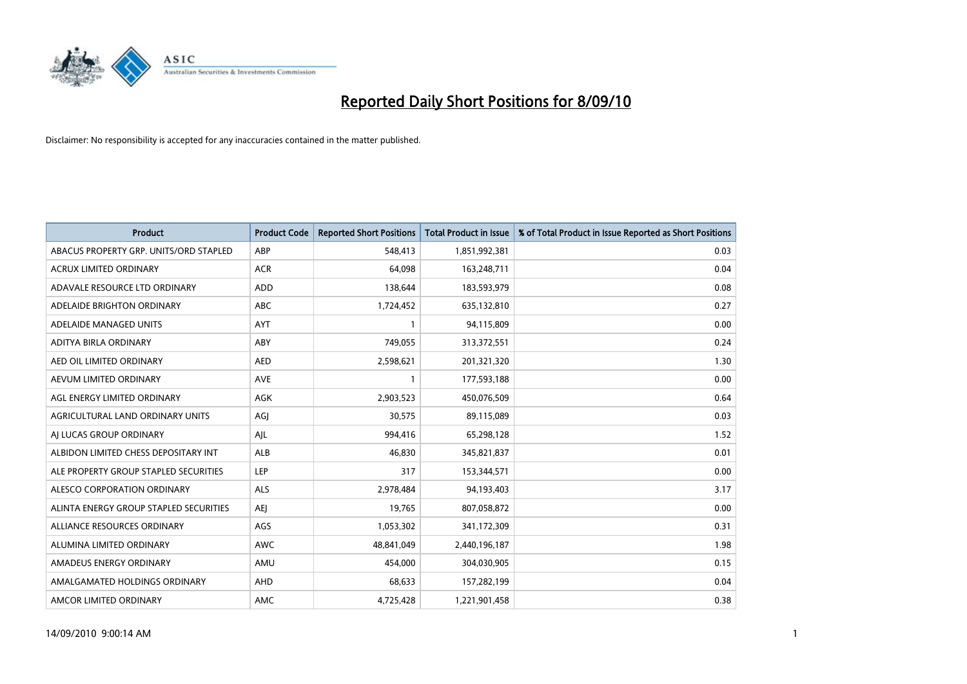

| <b>Product</b>                         | <b>Product Code</b> | <b>Reported Short Positions</b> | Total Product in Issue | % of Total Product in Issue Reported as Short Positions |
|----------------------------------------|---------------------|---------------------------------|------------------------|---------------------------------------------------------|
| ABACUS PROPERTY GRP. UNITS/ORD STAPLED | ABP                 | 548,413                         | 1,851,992,381          | 0.03                                                    |
| <b>ACRUX LIMITED ORDINARY</b>          | <b>ACR</b>          | 64.098                          | 163,248,711            | 0.04                                                    |
| ADAVALE RESOURCE LTD ORDINARY          | <b>ADD</b>          | 138,644                         | 183,593,979            | 0.08                                                    |
| ADELAIDE BRIGHTON ORDINARY             | <b>ABC</b>          | 1,724,452                       | 635,132,810            | 0.27                                                    |
| ADELAIDE MANAGED UNITS                 | AYT                 |                                 | 94,115,809             | 0.00                                                    |
| ADITYA BIRLA ORDINARY                  | ABY                 | 749,055                         | 313,372,551            | 0.24                                                    |
| AED OIL LIMITED ORDINARY               | <b>AED</b>          | 2,598,621                       | 201,321,320            | 1.30                                                    |
| AEVUM LIMITED ORDINARY                 | <b>AVE</b>          |                                 | 177,593,188            | 0.00                                                    |
| AGL ENERGY LIMITED ORDINARY            | <b>AGK</b>          | 2,903,523                       | 450,076,509            | 0.64                                                    |
| AGRICULTURAL LAND ORDINARY UNITS       | AGI                 | 30.575                          | 89,115,089             | 0.03                                                    |
| AI LUCAS GROUP ORDINARY                | AJL                 | 994,416                         | 65,298,128             | 1.52                                                    |
| ALBIDON LIMITED CHESS DEPOSITARY INT   | ALB                 | 46,830                          | 345,821,837            | 0.01                                                    |
| ALE PROPERTY GROUP STAPLED SECURITIES  | LEP                 | 317                             | 153,344,571            | 0.00                                                    |
| ALESCO CORPORATION ORDINARY            | <b>ALS</b>          | 2,978,484                       | 94,193,403             | 3.17                                                    |
| ALINTA ENERGY GROUP STAPLED SECURITIES | <b>AEI</b>          | 19,765                          | 807,058,872            | 0.00                                                    |
| ALLIANCE RESOURCES ORDINARY            | AGS                 | 1,053,302                       | 341,172,309            | 0.31                                                    |
| ALUMINA LIMITED ORDINARY               | <b>AWC</b>          | 48,841,049                      | 2,440,196,187          | 1.98                                                    |
| AMADEUS ENERGY ORDINARY                | AMU                 | 454,000                         | 304,030,905            | 0.15                                                    |
| AMALGAMATED HOLDINGS ORDINARY          | AHD                 | 68,633                          | 157,282,199            | 0.04                                                    |
| AMCOR LIMITED ORDINARY                 | <b>AMC</b>          | 4,725,428                       | 1,221,901,458          | 0.38                                                    |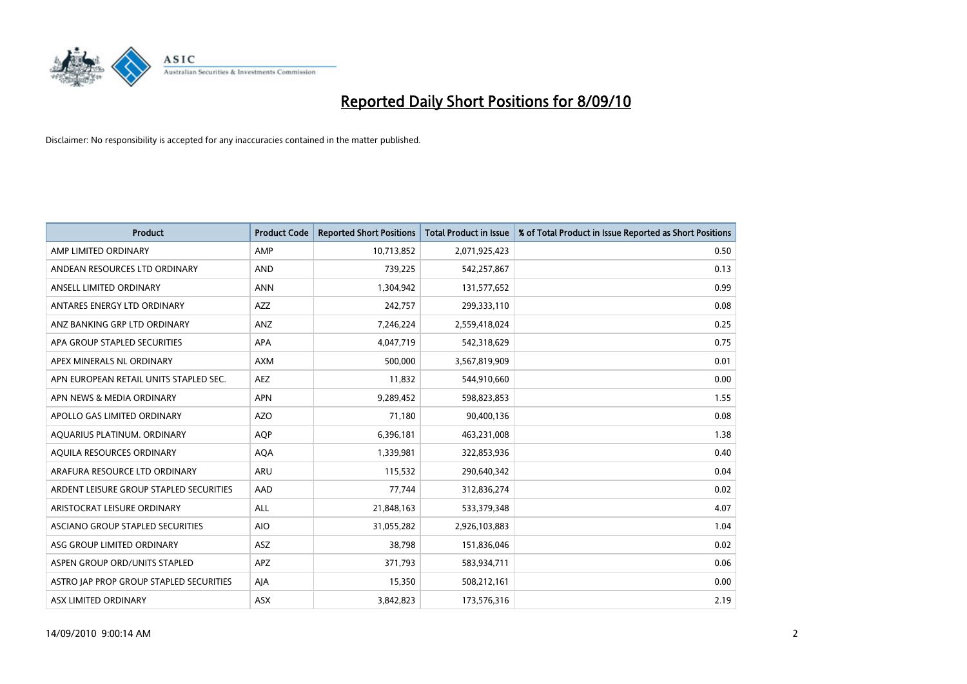

| <b>Product</b>                          | <b>Product Code</b> | <b>Reported Short Positions</b> | Total Product in Issue | % of Total Product in Issue Reported as Short Positions |
|-----------------------------------------|---------------------|---------------------------------|------------------------|---------------------------------------------------------|
| AMP LIMITED ORDINARY                    | AMP                 | 10,713,852                      | 2,071,925,423          | 0.50                                                    |
| ANDEAN RESOURCES LTD ORDINARY           | <b>AND</b>          | 739,225                         | 542,257,867            | 0.13                                                    |
| ANSELL LIMITED ORDINARY                 | <b>ANN</b>          | 1,304,942                       | 131,577,652            | 0.99                                                    |
| ANTARES ENERGY LTD ORDINARY             | <b>AZZ</b>          | 242,757                         | 299,333,110            | 0.08                                                    |
| ANZ BANKING GRP LTD ORDINARY            | ANZ                 | 7,246,224                       | 2,559,418,024          | 0.25                                                    |
| APA GROUP STAPLED SECURITIES            | <b>APA</b>          | 4,047,719                       | 542,318,629            | 0.75                                                    |
| APEX MINERALS NL ORDINARY               | <b>AXM</b>          | 500.000                         | 3,567,819,909          | 0.01                                                    |
| APN EUROPEAN RETAIL UNITS STAPLED SEC.  | <b>AEZ</b>          | 11,832                          | 544,910,660            | 0.00                                                    |
| APN NEWS & MEDIA ORDINARY               | <b>APN</b>          | 9,289,452                       | 598,823,853            | 1.55                                                    |
| APOLLO GAS LIMITED ORDINARY             | <b>AZO</b>          | 71.180                          | 90,400,136             | 0.08                                                    |
| AQUARIUS PLATINUM. ORDINARY             | <b>AOP</b>          | 6,396,181                       | 463,231,008            | 1.38                                                    |
| AQUILA RESOURCES ORDINARY               | <b>AQA</b>          | 1,339,981                       | 322,853,936            | 0.40                                                    |
| ARAFURA RESOURCE LTD ORDINARY           | <b>ARU</b>          | 115,532                         | 290,640,342            | 0.04                                                    |
| ARDENT LEISURE GROUP STAPLED SECURITIES | AAD                 | 77.744                          | 312,836,274            | 0.02                                                    |
| ARISTOCRAT LEISURE ORDINARY             | ALL                 | 21,848,163                      | 533,379,348            | 4.07                                                    |
| ASCIANO GROUP STAPLED SECURITIES        | <b>AIO</b>          | 31,055,282                      | 2,926,103,883          | 1.04                                                    |
| ASG GROUP LIMITED ORDINARY              | <b>ASZ</b>          | 38,798                          | 151,836,046            | 0.02                                                    |
| ASPEN GROUP ORD/UNITS STAPLED           | <b>APZ</b>          | 371,793                         | 583,934,711            | 0.06                                                    |
| ASTRO JAP PROP GROUP STAPLED SECURITIES | AJA                 | 15,350                          | 508,212,161            | 0.00                                                    |
| ASX LIMITED ORDINARY                    | ASX                 | 3,842,823                       | 173,576,316            | 2.19                                                    |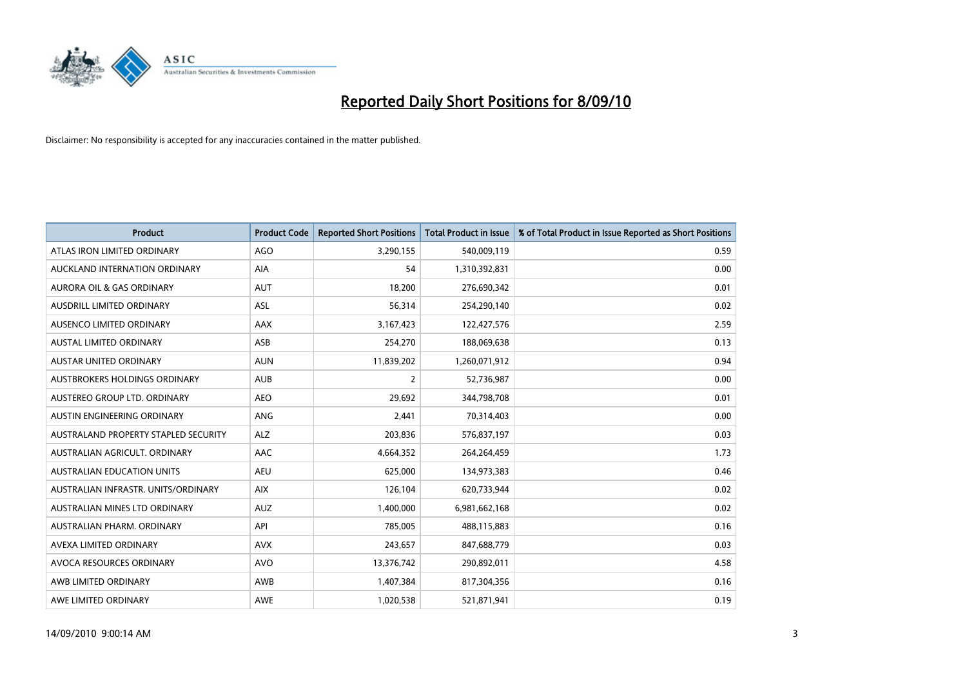

| <b>Product</b>                       | <b>Product Code</b> | <b>Reported Short Positions</b> | <b>Total Product in Issue</b> | % of Total Product in Issue Reported as Short Positions |
|--------------------------------------|---------------------|---------------------------------|-------------------------------|---------------------------------------------------------|
| ATLAS IRON LIMITED ORDINARY          | <b>AGO</b>          | 3,290,155                       | 540,009,119                   | 0.59                                                    |
| AUCKLAND INTERNATION ORDINARY        | AIA                 | 54                              | 1,310,392,831                 | 0.00                                                    |
| <b>AURORA OIL &amp; GAS ORDINARY</b> | <b>AUT</b>          | 18,200                          | 276,690,342                   | 0.01                                                    |
| AUSDRILL LIMITED ORDINARY            | <b>ASL</b>          | 56,314                          | 254,290,140                   | 0.02                                                    |
| AUSENCO LIMITED ORDINARY             | AAX                 | 3,167,423                       | 122,427,576                   | 2.59                                                    |
| <b>AUSTAL LIMITED ORDINARY</b>       | ASB                 | 254,270                         | 188,069,638                   | 0.13                                                    |
| AUSTAR UNITED ORDINARY               | <b>AUN</b>          | 11,839,202                      | 1,260,071,912                 | 0.94                                                    |
| AUSTBROKERS HOLDINGS ORDINARY        | <b>AUB</b>          | $\overline{2}$                  | 52,736,987                    | 0.00                                                    |
| AUSTEREO GROUP LTD. ORDINARY         | <b>AEO</b>          | 29,692                          | 344,798,708                   | 0.01                                                    |
| AUSTIN ENGINEERING ORDINARY          | ANG                 | 2,441                           | 70,314,403                    | 0.00                                                    |
| AUSTRALAND PROPERTY STAPLED SECURITY | <b>ALZ</b>          | 203,836                         | 576,837,197                   | 0.03                                                    |
| AUSTRALIAN AGRICULT, ORDINARY        | AAC                 | 4,664,352                       | 264,264,459                   | 1.73                                                    |
| AUSTRALIAN EDUCATION UNITS           | <b>AEU</b>          | 625,000                         | 134,973,383                   | 0.46                                                    |
| AUSTRALIAN INFRASTR. UNITS/ORDINARY  | <b>AIX</b>          | 126,104                         | 620,733,944                   | 0.02                                                    |
| AUSTRALIAN MINES LTD ORDINARY        | <b>AUZ</b>          | 1,400,000                       | 6,981,662,168                 | 0.02                                                    |
| AUSTRALIAN PHARM. ORDINARY           | API                 | 785,005                         | 488,115,883                   | 0.16                                                    |
| AVEXA LIMITED ORDINARY               | <b>AVX</b>          | 243,657                         | 847,688,779                   | 0.03                                                    |
| AVOCA RESOURCES ORDINARY             | <b>AVO</b>          | 13,376,742                      | 290,892,011                   | 4.58                                                    |
| AWB LIMITED ORDINARY                 | AWB                 | 1,407,384                       | 817,304,356                   | 0.16                                                    |
| AWE LIMITED ORDINARY                 | AWE                 | 1,020,538                       | 521,871,941                   | 0.19                                                    |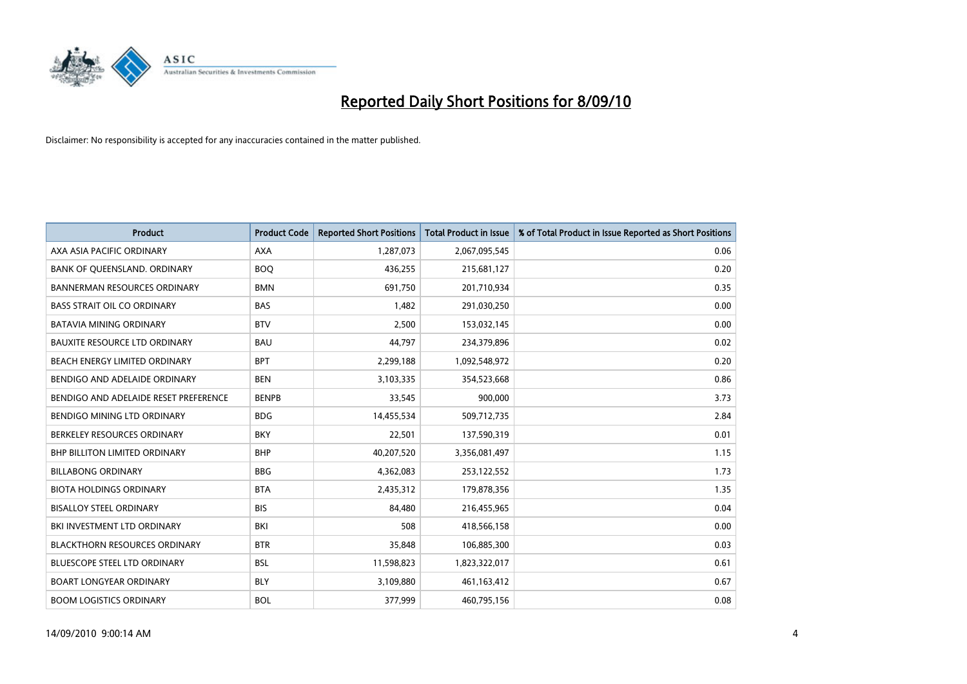

| <b>Product</b>                        | <b>Product Code</b> | <b>Reported Short Positions</b> | <b>Total Product in Issue</b> | % of Total Product in Issue Reported as Short Positions |
|---------------------------------------|---------------------|---------------------------------|-------------------------------|---------------------------------------------------------|
| AXA ASIA PACIFIC ORDINARY             | <b>AXA</b>          | 1,287,073                       | 2,067,095,545                 | 0.06                                                    |
| BANK OF QUEENSLAND. ORDINARY          | <b>BOO</b>          | 436,255                         | 215,681,127                   | 0.20                                                    |
| <b>BANNERMAN RESOURCES ORDINARY</b>   | <b>BMN</b>          | 691,750                         | 201,710,934                   | 0.35                                                    |
| <b>BASS STRAIT OIL CO ORDINARY</b>    | <b>BAS</b>          | 1,482                           | 291,030,250                   | 0.00                                                    |
| <b>BATAVIA MINING ORDINARY</b>        | <b>BTV</b>          | 2,500                           | 153,032,145                   | 0.00                                                    |
| <b>BAUXITE RESOURCE LTD ORDINARY</b>  | <b>BAU</b>          | 44,797                          | 234,379,896                   | 0.02                                                    |
| BEACH ENERGY LIMITED ORDINARY         | <b>BPT</b>          | 2,299,188                       | 1,092,548,972                 | 0.20                                                    |
| BENDIGO AND ADELAIDE ORDINARY         | <b>BEN</b>          | 3,103,335                       | 354,523,668                   | 0.86                                                    |
| BENDIGO AND ADELAIDE RESET PREFERENCE | <b>BENPB</b>        | 33,545                          | 900,000                       | 3.73                                                    |
| <b>BENDIGO MINING LTD ORDINARY</b>    | <b>BDG</b>          | 14,455,534                      | 509,712,735                   | 2.84                                                    |
| BERKELEY RESOURCES ORDINARY           | <b>BKY</b>          | 22,501                          | 137,590,319                   | 0.01                                                    |
| <b>BHP BILLITON LIMITED ORDINARY</b>  | <b>BHP</b>          | 40,207,520                      | 3,356,081,497                 | 1.15                                                    |
| <b>BILLABONG ORDINARY</b>             | <b>BBG</b>          | 4,362,083                       | 253,122,552                   | 1.73                                                    |
| <b>BIOTA HOLDINGS ORDINARY</b>        | <b>BTA</b>          | 2,435,312                       | 179,878,356                   | 1.35                                                    |
| <b>BISALLOY STEEL ORDINARY</b>        | <b>BIS</b>          | 84,480                          | 216,455,965                   | 0.04                                                    |
| BKI INVESTMENT LTD ORDINARY           | BKI                 | 508                             | 418,566,158                   | 0.00                                                    |
| <b>BLACKTHORN RESOURCES ORDINARY</b>  | <b>BTR</b>          | 35,848                          | 106,885,300                   | 0.03                                                    |
| <b>BLUESCOPE STEEL LTD ORDINARY</b>   | <b>BSL</b>          | 11,598,823                      | 1,823,322,017                 | 0.61                                                    |
| <b>BOART LONGYEAR ORDINARY</b>        | <b>BLY</b>          | 3,109,880                       | 461,163,412                   | 0.67                                                    |
| <b>BOOM LOGISTICS ORDINARY</b>        | <b>BOL</b>          | 377,999                         | 460,795,156                   | 0.08                                                    |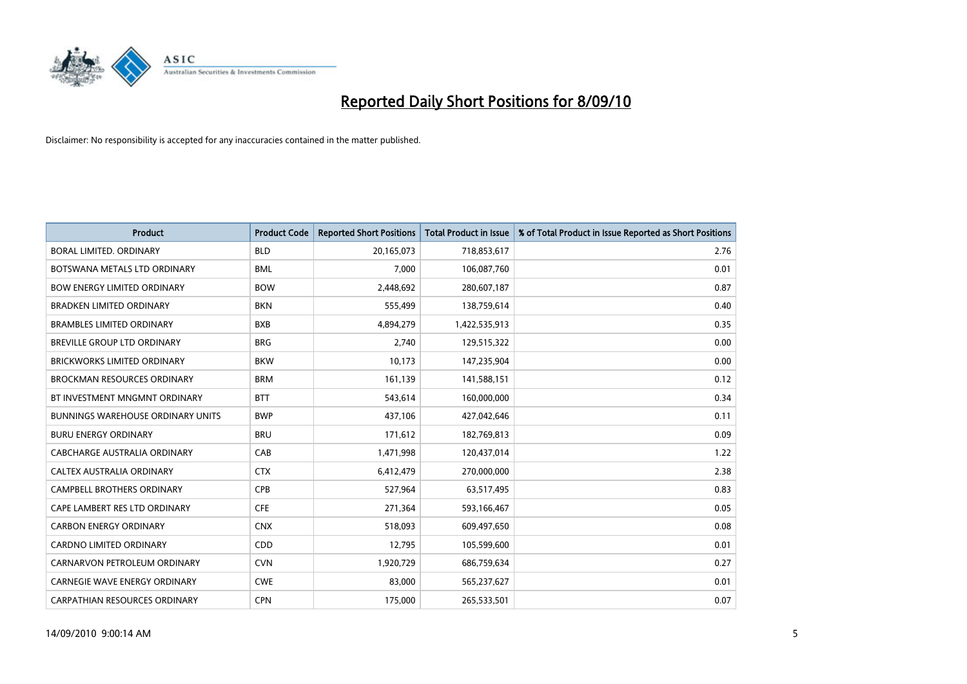

| <b>Product</b>                           | <b>Product Code</b> | <b>Reported Short Positions</b> | <b>Total Product in Issue</b> | % of Total Product in Issue Reported as Short Positions |
|------------------------------------------|---------------------|---------------------------------|-------------------------------|---------------------------------------------------------|
| <b>BORAL LIMITED, ORDINARY</b>           | <b>BLD</b>          | 20,165,073                      | 718,853,617                   | 2.76                                                    |
| BOTSWANA METALS LTD ORDINARY             | <b>BML</b>          | 7,000                           | 106,087,760                   | 0.01                                                    |
| <b>BOW ENERGY LIMITED ORDINARY</b>       | <b>BOW</b>          | 2,448,692                       | 280,607,187                   | 0.87                                                    |
| <b>BRADKEN LIMITED ORDINARY</b>          | <b>BKN</b>          | 555,499                         | 138,759,614                   | 0.40                                                    |
| <b>BRAMBLES LIMITED ORDINARY</b>         | <b>BXB</b>          | 4,894,279                       | 1,422,535,913                 | 0.35                                                    |
| <b>BREVILLE GROUP LTD ORDINARY</b>       | <b>BRG</b>          | 2,740                           | 129,515,322                   | 0.00                                                    |
| <b>BRICKWORKS LIMITED ORDINARY</b>       | <b>BKW</b>          | 10,173                          | 147,235,904                   | 0.00                                                    |
| <b>BROCKMAN RESOURCES ORDINARY</b>       | <b>BRM</b>          | 161,139                         | 141,588,151                   | 0.12                                                    |
| BT INVESTMENT MNGMNT ORDINARY            | <b>BTT</b>          | 543,614                         | 160,000,000                   | 0.34                                                    |
| <b>BUNNINGS WAREHOUSE ORDINARY UNITS</b> | <b>BWP</b>          | 437,106                         | 427,042,646                   | 0.11                                                    |
| <b>BURU ENERGY ORDINARY</b>              | <b>BRU</b>          | 171,612                         | 182,769,813                   | 0.09                                                    |
| CABCHARGE AUSTRALIA ORDINARY             | CAB                 | 1,471,998                       | 120,437,014                   | 1.22                                                    |
| CALTEX AUSTRALIA ORDINARY                | <b>CTX</b>          | 6,412,479                       | 270,000,000                   | 2.38                                                    |
| CAMPBELL BROTHERS ORDINARY               | <b>CPB</b>          | 527,964                         | 63,517,495                    | 0.83                                                    |
| CAPE LAMBERT RES LTD ORDINARY            | <b>CFE</b>          | 271,364                         | 593,166,467                   | 0.05                                                    |
| <b>CARBON ENERGY ORDINARY</b>            | <b>CNX</b>          | 518,093                         | 609,497,650                   | 0.08                                                    |
| CARDNO LIMITED ORDINARY                  | CDD                 | 12,795                          | 105,599,600                   | 0.01                                                    |
| CARNARVON PETROLEUM ORDINARY             | <b>CVN</b>          | 1,920,729                       | 686,759,634                   | 0.27                                                    |
| <b>CARNEGIE WAVE ENERGY ORDINARY</b>     | <b>CWE</b>          | 83,000                          | 565,237,627                   | 0.01                                                    |
| CARPATHIAN RESOURCES ORDINARY            | <b>CPN</b>          | 175,000                         | 265,533,501                   | 0.07                                                    |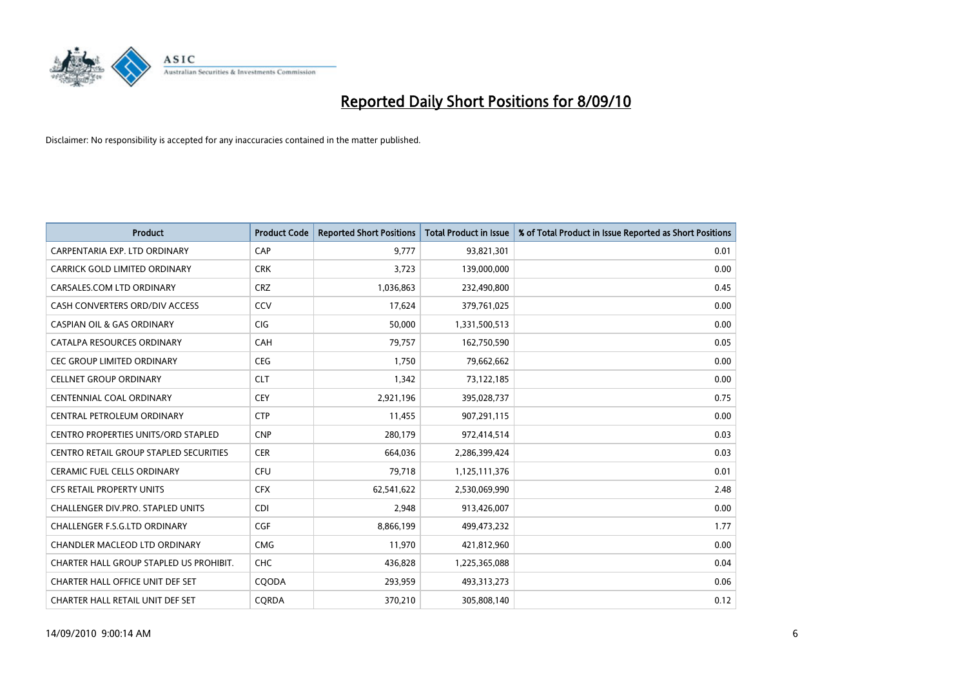

| <b>Product</b>                                | <b>Product Code</b> | <b>Reported Short Positions</b> | <b>Total Product in Issue</b> | % of Total Product in Issue Reported as Short Positions |
|-----------------------------------------------|---------------------|---------------------------------|-------------------------------|---------------------------------------------------------|
| CARPENTARIA EXP. LTD ORDINARY                 | CAP                 | 9,777                           | 93,821,301                    | 0.01                                                    |
| CARRICK GOLD LIMITED ORDINARY                 | <b>CRK</b>          | 3,723                           | 139,000,000                   | 0.00                                                    |
| CARSALES.COM LTD ORDINARY                     | <b>CRZ</b>          | 1,036,863                       | 232,490,800                   | 0.45                                                    |
| CASH CONVERTERS ORD/DIV ACCESS                | CCV                 | 17,624                          | 379,761,025                   | 0.00                                                    |
| <b>CASPIAN OIL &amp; GAS ORDINARY</b>         | <b>CIG</b>          | 50,000                          | 1,331,500,513                 | 0.00                                                    |
| CATALPA RESOURCES ORDINARY                    | CAH                 | 79,757                          | 162,750,590                   | 0.05                                                    |
| <b>CEC GROUP LIMITED ORDINARY</b>             | <b>CEG</b>          | 1,750                           | 79,662,662                    | 0.00                                                    |
| <b>CELLNET GROUP ORDINARY</b>                 | <b>CLT</b>          | 1,342                           | 73,122,185                    | 0.00                                                    |
| CENTENNIAL COAL ORDINARY                      | <b>CEY</b>          | 2,921,196                       | 395,028,737                   | 0.75                                                    |
| CENTRAL PETROLEUM ORDINARY                    | <b>CTP</b>          | 11,455                          | 907,291,115                   | 0.00                                                    |
| <b>CENTRO PROPERTIES UNITS/ORD STAPLED</b>    | <b>CNP</b>          | 280,179                         | 972,414,514                   | 0.03                                                    |
| <b>CENTRO RETAIL GROUP STAPLED SECURITIES</b> | <b>CER</b>          | 664,036                         | 2,286,399,424                 | 0.03                                                    |
| <b>CERAMIC FUEL CELLS ORDINARY</b>            | CFU                 | 79,718                          | 1,125,111,376                 | 0.01                                                    |
| <b>CFS RETAIL PROPERTY UNITS</b>              | <b>CFX</b>          | 62,541,622                      | 2,530,069,990                 | 2.48                                                    |
| CHALLENGER DIV.PRO. STAPLED UNITS             | <b>CDI</b>          | 2,948                           | 913,426,007                   | 0.00                                                    |
| CHALLENGER F.S.G.LTD ORDINARY                 | CGF                 | 8,866,199                       | 499,473,232                   | 1.77                                                    |
| <b>CHANDLER MACLEOD LTD ORDINARY</b>          | <b>CMG</b>          | 11,970                          | 421,812,960                   | 0.00                                                    |
| CHARTER HALL GROUP STAPLED US PROHIBIT.       | <b>CHC</b>          | 436,828                         | 1,225,365,088                 | 0.04                                                    |
| CHARTER HALL OFFICE UNIT DEF SET              | COODA               | 293,959                         | 493,313,273                   | 0.06                                                    |
| CHARTER HALL RETAIL UNIT DEF SET              | CORDA               | 370.210                         | 305,808,140                   | 0.12                                                    |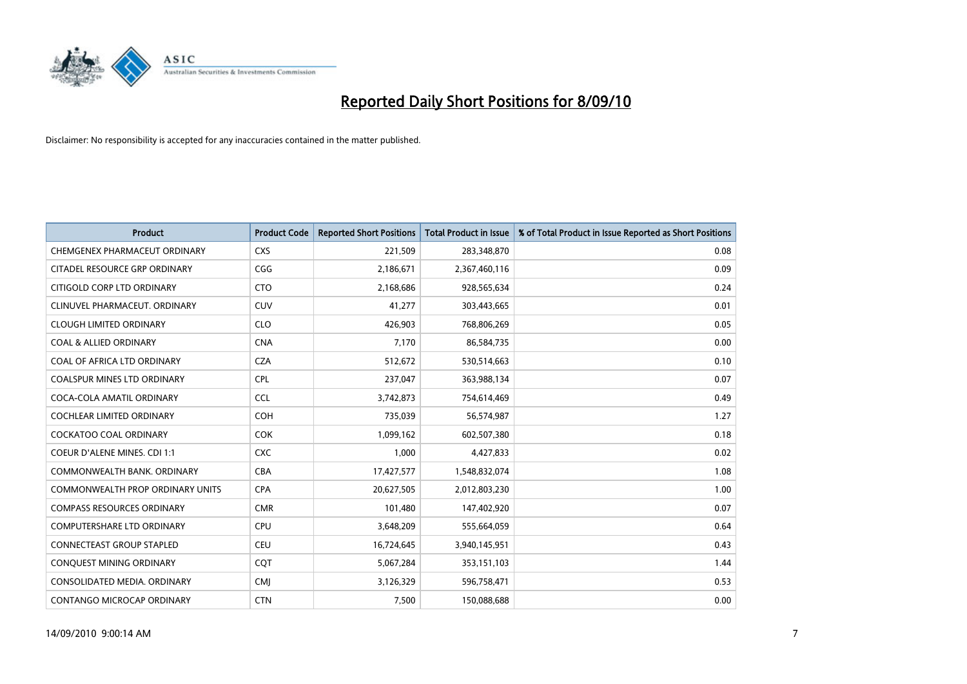

| <b>Product</b>                      | <b>Product Code</b> | <b>Reported Short Positions</b> | Total Product in Issue | % of Total Product in Issue Reported as Short Positions |
|-------------------------------------|---------------------|---------------------------------|------------------------|---------------------------------------------------------|
| CHEMGENEX PHARMACEUT ORDINARY       | <b>CXS</b>          | 221,509                         | 283,348,870            | 0.08                                                    |
| CITADEL RESOURCE GRP ORDINARY       | CGG                 | 2,186,671                       | 2,367,460,116          | 0.09                                                    |
| CITIGOLD CORP LTD ORDINARY          | <b>CTO</b>          | 2,168,686                       | 928,565,634            | 0.24                                                    |
| CLINUVEL PHARMACEUT. ORDINARY       | <b>CUV</b>          | 41,277                          | 303,443,665            | 0.01                                                    |
| <b>CLOUGH LIMITED ORDINARY</b>      | <b>CLO</b>          | 426.903                         | 768,806,269            | 0.05                                                    |
| <b>COAL &amp; ALLIED ORDINARY</b>   | <b>CNA</b>          | 7,170                           | 86,584,735             | 0.00                                                    |
| COAL OF AFRICA LTD ORDINARY         | <b>CZA</b>          | 512,672                         | 530,514,663            | 0.10                                                    |
| <b>COALSPUR MINES LTD ORDINARY</b>  | <b>CPL</b>          | 237,047                         | 363,988,134            | 0.07                                                    |
| COCA-COLA AMATIL ORDINARY           | <b>CCL</b>          | 3,742,873                       | 754,614,469            | 0.49                                                    |
| <b>COCHLEAR LIMITED ORDINARY</b>    | <b>COH</b>          | 735,039                         | 56,574,987             | 1.27                                                    |
| <b>COCKATOO COAL ORDINARY</b>       | <b>COK</b>          | 1,099,162                       | 602,507,380            | 0.18                                                    |
| <b>COEUR D'ALENE MINES. CDI 1:1</b> | <b>CXC</b>          | 1,000                           | 4,427,833              | 0.02                                                    |
| COMMONWEALTH BANK, ORDINARY         | <b>CBA</b>          | 17,427,577                      | 1,548,832,074          | 1.08                                                    |
| COMMONWEALTH PROP ORDINARY UNITS    | <b>CPA</b>          | 20,627,505                      | 2,012,803,230          | 1.00                                                    |
| <b>COMPASS RESOURCES ORDINARY</b>   | <b>CMR</b>          | 101,480                         | 147,402,920            | 0.07                                                    |
| <b>COMPUTERSHARE LTD ORDINARY</b>   | <b>CPU</b>          | 3,648,209                       | 555,664,059            | 0.64                                                    |
| <b>CONNECTEAST GROUP STAPLED</b>    | <b>CEU</b>          | 16,724,645                      | 3,940,145,951          | 0.43                                                    |
| CONQUEST MINING ORDINARY            | COT                 | 5,067,284                       | 353,151,103            | 1.44                                                    |
| CONSOLIDATED MEDIA, ORDINARY        | <b>CMI</b>          | 3,126,329                       | 596,758,471            | 0.53                                                    |
| <b>CONTANGO MICROCAP ORDINARY</b>   | <b>CTN</b>          | 7,500                           | 150,088,688            | 0.00                                                    |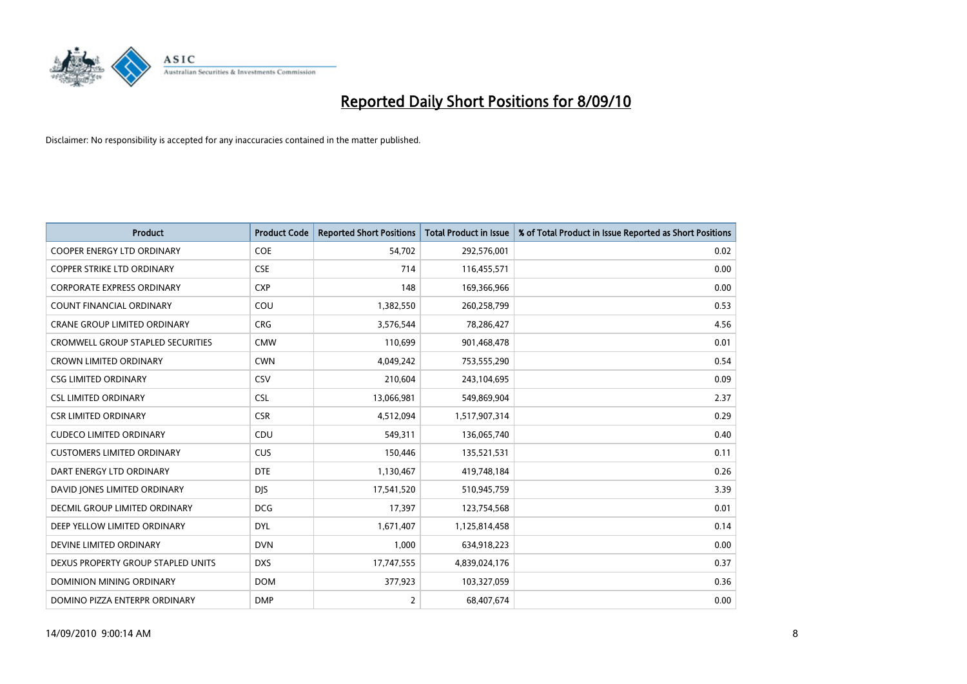

| <b>Product</b>                           | <b>Product Code</b> | <b>Reported Short Positions</b> | <b>Total Product in Issue</b> | % of Total Product in Issue Reported as Short Positions |
|------------------------------------------|---------------------|---------------------------------|-------------------------------|---------------------------------------------------------|
| <b>COOPER ENERGY LTD ORDINARY</b>        | <b>COE</b>          | 54,702                          | 292,576,001                   | 0.02                                                    |
| <b>COPPER STRIKE LTD ORDINARY</b>        | <b>CSE</b>          | 714                             | 116,455,571                   | 0.00                                                    |
| <b>CORPORATE EXPRESS ORDINARY</b>        | <b>CXP</b>          | 148                             | 169,366,966                   | 0.00                                                    |
| COUNT FINANCIAL ORDINARY                 | COU                 | 1,382,550                       | 260,258,799                   | 0.53                                                    |
| <b>CRANE GROUP LIMITED ORDINARY</b>      | <b>CRG</b>          | 3,576,544                       | 78,286,427                    | 4.56                                                    |
| <b>CROMWELL GROUP STAPLED SECURITIES</b> | <b>CMW</b>          | 110,699                         | 901,468,478                   | 0.01                                                    |
| <b>CROWN LIMITED ORDINARY</b>            | <b>CWN</b>          | 4,049,242                       | 753,555,290                   | 0.54                                                    |
| <b>CSG LIMITED ORDINARY</b>              | CSV                 | 210,604                         | 243,104,695                   | 0.09                                                    |
| <b>CSL LIMITED ORDINARY</b>              | <b>CSL</b>          | 13,066,981                      | 549,869,904                   | 2.37                                                    |
| <b>CSR LIMITED ORDINARY</b>              | <b>CSR</b>          | 4,512,094                       | 1,517,907,314                 | 0.29                                                    |
| <b>CUDECO LIMITED ORDINARY</b>           | CDU                 | 549,311                         | 136,065,740                   | 0.40                                                    |
| <b>CUSTOMERS LIMITED ORDINARY</b>        | CUS                 | 150,446                         | 135,521,531                   | 0.11                                                    |
| DART ENERGY LTD ORDINARY                 | <b>DTE</b>          | 1,130,467                       | 419,748,184                   | 0.26                                                    |
| DAVID JONES LIMITED ORDINARY             | <b>DJS</b>          | 17,541,520                      | 510,945,759                   | 3.39                                                    |
| DECMIL GROUP LIMITED ORDINARY            | <b>DCG</b>          | 17,397                          | 123,754,568                   | 0.01                                                    |
| DEEP YELLOW LIMITED ORDINARY             | <b>DYL</b>          | 1,671,407                       | 1,125,814,458                 | 0.14                                                    |
| DEVINE LIMITED ORDINARY                  | <b>DVN</b>          | 1,000                           | 634,918,223                   | 0.00                                                    |
| DEXUS PROPERTY GROUP STAPLED UNITS       | <b>DXS</b>          | 17,747,555                      | 4,839,024,176                 | 0.37                                                    |
| <b>DOMINION MINING ORDINARY</b>          | <b>DOM</b>          | 377,923                         | 103,327,059                   | 0.36                                                    |
| DOMINO PIZZA ENTERPR ORDINARY            | <b>DMP</b>          | 2                               | 68,407,674                    | 0.00                                                    |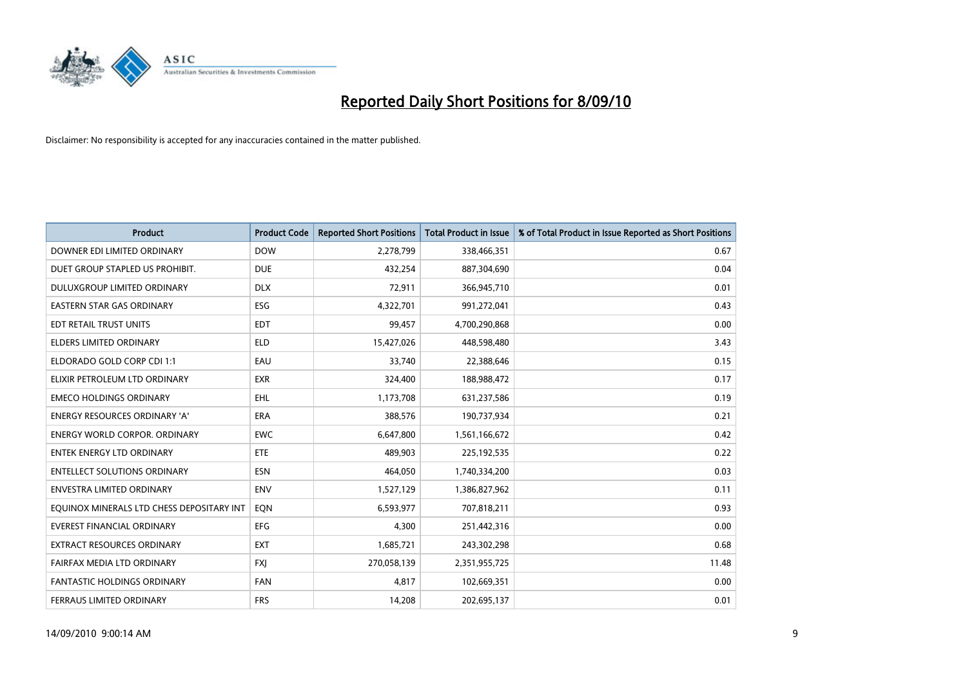

| <b>Product</b>                            | <b>Product Code</b> | <b>Reported Short Positions</b> | <b>Total Product in Issue</b> | % of Total Product in Issue Reported as Short Positions |
|-------------------------------------------|---------------------|---------------------------------|-------------------------------|---------------------------------------------------------|
| DOWNER EDI LIMITED ORDINARY               | <b>DOW</b>          | 2,278,799                       | 338,466,351                   | 0.67                                                    |
| DUET GROUP STAPLED US PROHIBIT.           | <b>DUE</b>          | 432,254                         | 887,304,690                   | 0.04                                                    |
| DULUXGROUP LIMITED ORDINARY               | <b>DLX</b>          | 72,911                          | 366,945,710                   | 0.01                                                    |
| EASTERN STAR GAS ORDINARY                 | ESG                 | 4,322,701                       | 991,272,041                   | 0.43                                                    |
| EDT RETAIL TRUST UNITS                    | <b>EDT</b>          | 99,457                          | 4,700,290,868                 | 0.00                                                    |
| <b>ELDERS LIMITED ORDINARY</b>            | <b>ELD</b>          | 15,427,026                      | 448,598,480                   | 3.43                                                    |
| ELDORADO GOLD CORP CDI 1:1                | EAU                 | 33.740                          | 22,388,646                    | 0.15                                                    |
| ELIXIR PETROLEUM LTD ORDINARY             | <b>EXR</b>          | 324,400                         | 188,988,472                   | 0.17                                                    |
| <b>EMECO HOLDINGS ORDINARY</b>            | <b>EHL</b>          | 1,173,708                       | 631,237,586                   | 0.19                                                    |
| <b>ENERGY RESOURCES ORDINARY 'A'</b>      | <b>ERA</b>          | 388,576                         | 190,737,934                   | 0.21                                                    |
| <b>ENERGY WORLD CORPOR, ORDINARY</b>      | <b>EWC</b>          | 6,647,800                       | 1,561,166,672                 | 0.42                                                    |
| <b>ENTEK ENERGY LTD ORDINARY</b>          | <b>ETE</b>          | 489,903                         | 225,192,535                   | 0.22                                                    |
| <b>ENTELLECT SOLUTIONS ORDINARY</b>       | <b>ESN</b>          | 464,050                         | 1,740,334,200                 | 0.03                                                    |
| <b>ENVESTRA LIMITED ORDINARY</b>          | <b>ENV</b>          | 1,527,129                       | 1,386,827,962                 | 0.11                                                    |
| EQUINOX MINERALS LTD CHESS DEPOSITARY INT | EON                 | 6,593,977                       | 707,818,211                   | 0.93                                                    |
| <b>EVEREST FINANCIAL ORDINARY</b>         | <b>EFG</b>          | 4,300                           | 251,442,316                   | 0.00                                                    |
| <b>EXTRACT RESOURCES ORDINARY</b>         | <b>EXT</b>          | 1,685,721                       | 243,302,298                   | 0.68                                                    |
| FAIRFAX MEDIA LTD ORDINARY                | <b>FXI</b>          | 270,058,139                     | 2,351,955,725                 | 11.48                                                   |
| <b>FANTASTIC HOLDINGS ORDINARY</b>        | <b>FAN</b>          | 4,817                           | 102,669,351                   | 0.00                                                    |
| FERRAUS LIMITED ORDINARY                  | <b>FRS</b>          | 14,208                          | 202,695,137                   | 0.01                                                    |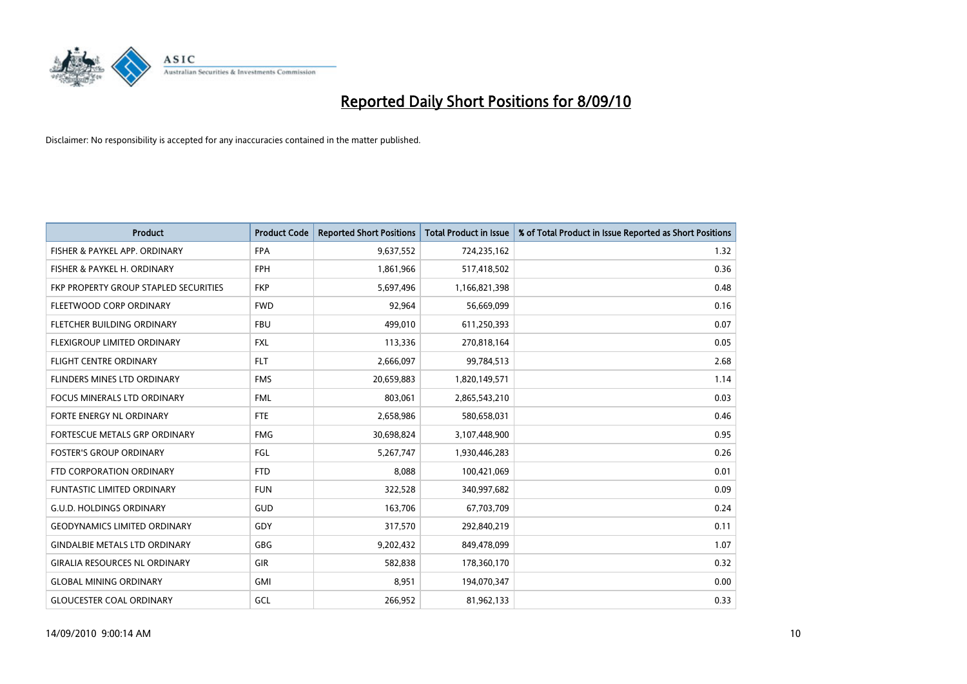

| <b>Product</b>                        | <b>Product Code</b> | <b>Reported Short Positions</b> | <b>Total Product in Issue</b> | % of Total Product in Issue Reported as Short Positions |
|---------------------------------------|---------------------|---------------------------------|-------------------------------|---------------------------------------------------------|
| FISHER & PAYKEL APP. ORDINARY         | <b>FPA</b>          | 9,637,552                       | 724,235,162                   | 1.32                                                    |
| FISHER & PAYKEL H. ORDINARY           | <b>FPH</b>          | 1,861,966                       | 517,418,502                   | 0.36                                                    |
| FKP PROPERTY GROUP STAPLED SECURITIES | <b>FKP</b>          | 5,697,496                       | 1,166,821,398                 | 0.48                                                    |
| FLEETWOOD CORP ORDINARY               | <b>FWD</b>          | 92,964                          | 56,669,099                    | 0.16                                                    |
| FLETCHER BUILDING ORDINARY            | <b>FBU</b>          | 499.010                         | 611,250,393                   | 0.07                                                    |
| FLEXIGROUP LIMITED ORDINARY           | <b>FXL</b>          | 113,336                         | 270,818,164                   | 0.05                                                    |
| <b>FLIGHT CENTRE ORDINARY</b>         | <b>FLT</b>          | 2,666,097                       | 99,784,513                    | 2.68                                                    |
| FLINDERS MINES LTD ORDINARY           | <b>FMS</b>          | 20,659,883                      | 1,820,149,571                 | 1.14                                                    |
| <b>FOCUS MINERALS LTD ORDINARY</b>    | <b>FML</b>          | 803,061                         | 2,865,543,210                 | 0.03                                                    |
| FORTE ENERGY NL ORDINARY              | <b>FTE</b>          | 2,658,986                       | 580,658,031                   | 0.46                                                    |
| FORTESCUE METALS GRP ORDINARY         | <b>FMG</b>          | 30,698,824                      | 3,107,448,900                 | 0.95                                                    |
| <b>FOSTER'S GROUP ORDINARY</b>        | FGL                 | 5,267,747                       | 1,930,446,283                 | 0.26                                                    |
| FTD CORPORATION ORDINARY              | <b>FTD</b>          | 8,088                           | 100,421,069                   | 0.01                                                    |
| <b>FUNTASTIC LIMITED ORDINARY</b>     | <b>FUN</b>          | 322,528                         | 340,997,682                   | 0.09                                                    |
| <b>G.U.D. HOLDINGS ORDINARY</b>       | <b>GUD</b>          | 163,706                         | 67,703,709                    | 0.24                                                    |
| <b>GEODYNAMICS LIMITED ORDINARY</b>   | GDY                 | 317,570                         | 292,840,219                   | 0.11                                                    |
| <b>GINDALBIE METALS LTD ORDINARY</b>  | <b>GBG</b>          | 9,202,432                       | 849,478,099                   | 1.07                                                    |
| <b>GIRALIA RESOURCES NL ORDINARY</b>  | GIR                 | 582,838                         | 178,360,170                   | 0.32                                                    |
| <b>GLOBAL MINING ORDINARY</b>         | <b>GMI</b>          | 8,951                           | 194,070,347                   | 0.00                                                    |
| <b>GLOUCESTER COAL ORDINARY</b>       | GCL                 | 266.952                         | 81,962,133                    | 0.33                                                    |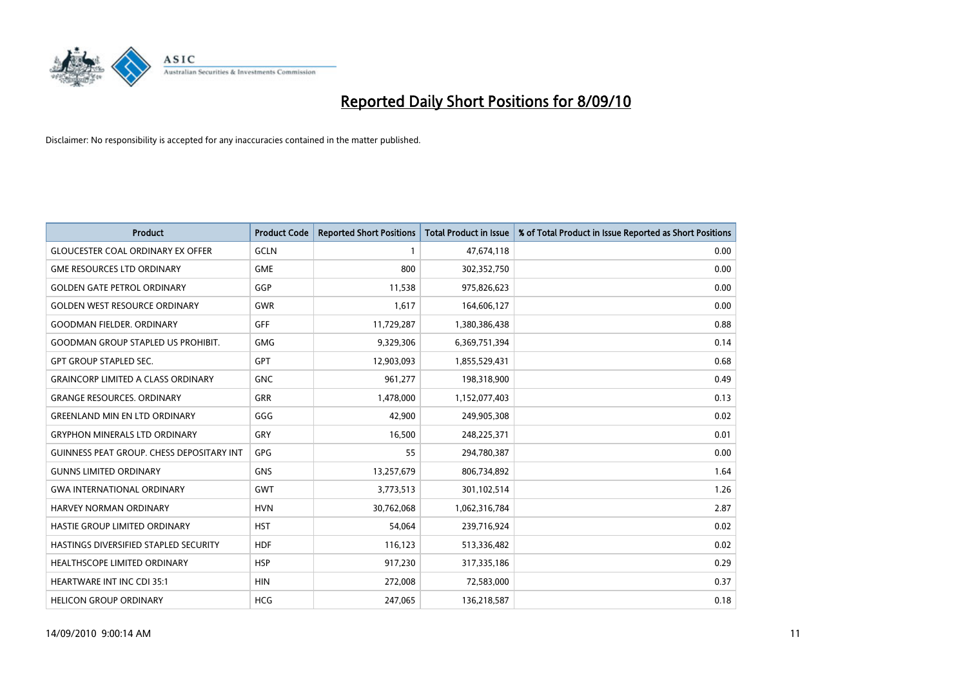

| <b>Product</b>                                   | <b>Product Code</b> | <b>Reported Short Positions</b> | <b>Total Product in Issue</b> | % of Total Product in Issue Reported as Short Positions |
|--------------------------------------------------|---------------------|---------------------------------|-------------------------------|---------------------------------------------------------|
| <b>GLOUCESTER COAL ORDINARY EX OFFER</b>         | <b>GCLN</b>         |                                 | 47,674,118                    | 0.00                                                    |
| <b>GME RESOURCES LTD ORDINARY</b>                | <b>GME</b>          | 800                             | 302,352,750                   | 0.00                                                    |
| <b>GOLDEN GATE PETROL ORDINARY</b>               | GGP                 | 11,538                          | 975,826,623                   | 0.00                                                    |
| <b>GOLDEN WEST RESOURCE ORDINARY</b>             | <b>GWR</b>          | 1,617                           | 164,606,127                   | 0.00                                                    |
| <b>GOODMAN FIELDER, ORDINARY</b>                 | <b>GFF</b>          | 11,729,287                      | 1,380,386,438                 | 0.88                                                    |
| <b>GOODMAN GROUP STAPLED US PROHIBIT.</b>        | <b>GMG</b>          | 9,329,306                       | 6,369,751,394                 | 0.14                                                    |
| <b>GPT GROUP STAPLED SEC.</b>                    | <b>GPT</b>          | 12,903,093                      | 1,855,529,431                 | 0.68                                                    |
| <b>GRAINCORP LIMITED A CLASS ORDINARY</b>        | <b>GNC</b>          | 961,277                         | 198,318,900                   | 0.49                                                    |
| <b>GRANGE RESOURCES, ORDINARY</b>                | <b>GRR</b>          | 1,478,000                       | 1,152,077,403                 | 0.13                                                    |
| <b>GREENLAND MIN EN LTD ORDINARY</b>             | GGG                 | 42,900                          | 249,905,308                   | 0.02                                                    |
| <b>GRYPHON MINERALS LTD ORDINARY</b>             | <b>GRY</b>          | 16,500                          | 248,225,371                   | 0.01                                                    |
| <b>GUINNESS PEAT GROUP. CHESS DEPOSITARY INT</b> | GPG                 | 55                              | 294,780,387                   | 0.00                                                    |
| <b>GUNNS LIMITED ORDINARY</b>                    | <b>GNS</b>          | 13,257,679                      | 806,734,892                   | 1.64                                                    |
| <b>GWA INTERNATIONAL ORDINARY</b>                | <b>GWT</b>          | 3,773,513                       | 301,102,514                   | 1.26                                                    |
| <b>HARVEY NORMAN ORDINARY</b>                    | <b>HVN</b>          | 30,762,068                      | 1,062,316,784                 | 2.87                                                    |
| HASTIE GROUP LIMITED ORDINARY                    | <b>HST</b>          | 54,064                          | 239,716,924                   | 0.02                                                    |
| HASTINGS DIVERSIFIED STAPLED SECURITY            | <b>HDF</b>          | 116,123                         | 513,336,482                   | 0.02                                                    |
| HEALTHSCOPE LIMITED ORDINARY                     | <b>HSP</b>          | 917,230                         | 317,335,186                   | 0.29                                                    |
| <b>HEARTWARE INT INC CDI 35:1</b>                | <b>HIN</b>          | 272,008                         | 72,583,000                    | 0.37                                                    |
| <b>HELICON GROUP ORDINARY</b>                    | <b>HCG</b>          | 247,065                         | 136,218,587                   | 0.18                                                    |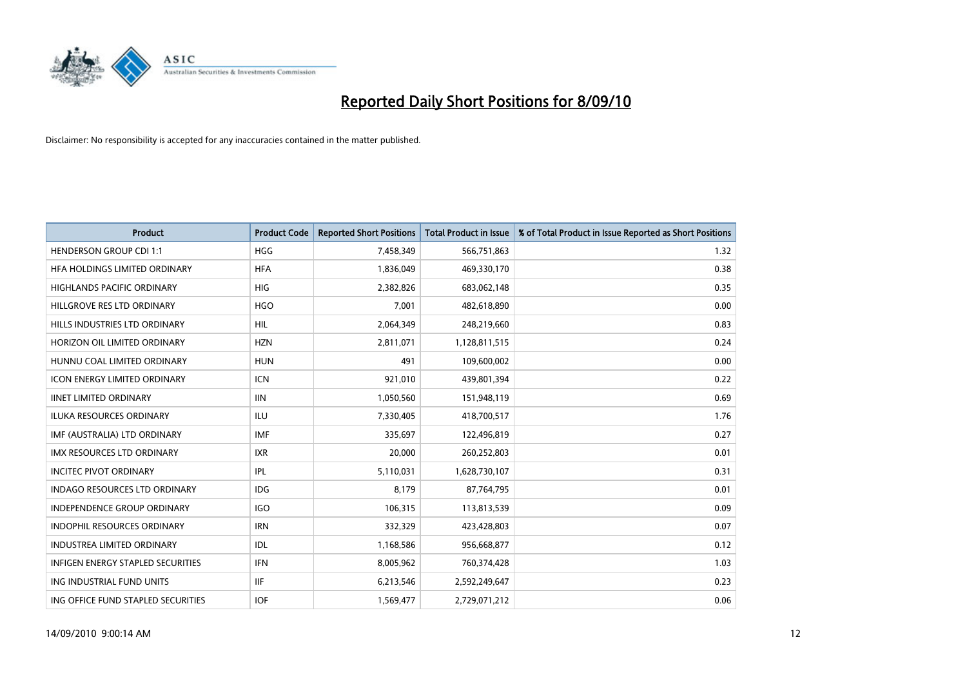

| <b>Product</b>                       | <b>Product Code</b> | <b>Reported Short Positions</b> | <b>Total Product in Issue</b> | % of Total Product in Issue Reported as Short Positions |
|--------------------------------------|---------------------|---------------------------------|-------------------------------|---------------------------------------------------------|
| <b>HENDERSON GROUP CDI 1:1</b>       | <b>HGG</b>          | 7,458,349                       | 566,751,863                   | 1.32                                                    |
| HFA HOLDINGS LIMITED ORDINARY        | <b>HFA</b>          | 1,836,049                       | 469,330,170                   | 0.38                                                    |
| <b>HIGHLANDS PACIFIC ORDINARY</b>    | <b>HIG</b>          | 2,382,826                       | 683,062,148                   | 0.35                                                    |
| HILLGROVE RES LTD ORDINARY           | <b>HGO</b>          | 7,001                           | 482,618,890                   | 0.00                                                    |
| HILLS INDUSTRIES LTD ORDINARY        | <b>HIL</b>          | 2,064,349                       | 248,219,660                   | 0.83                                                    |
| HORIZON OIL LIMITED ORDINARY         | <b>HZN</b>          | 2,811,071                       | 1,128,811,515                 | 0.24                                                    |
| HUNNU COAL LIMITED ORDINARY          | <b>HUN</b>          | 491                             | 109,600,002                   | 0.00                                                    |
| <b>ICON ENERGY LIMITED ORDINARY</b>  | <b>ICN</b>          | 921,010                         | 439,801,394                   | 0.22                                                    |
| <b>IINET LIMITED ORDINARY</b>        | <b>IIN</b>          | 1,050,560                       | 151,948,119                   | 0.69                                                    |
| <b>ILUKA RESOURCES ORDINARY</b>      | <b>ILU</b>          | 7,330,405                       | 418,700,517                   | 1.76                                                    |
| IMF (AUSTRALIA) LTD ORDINARY         | <b>IMF</b>          | 335,697                         | 122,496,819                   | 0.27                                                    |
| IMX RESOURCES LTD ORDINARY           | <b>IXR</b>          | 20,000                          | 260,252,803                   | 0.01                                                    |
| <b>INCITEC PIVOT ORDINARY</b>        | IPL                 | 5,110,031                       | 1,628,730,107                 | 0.31                                                    |
| <b>INDAGO RESOURCES LTD ORDINARY</b> | <b>IDG</b>          | 8,179                           | 87,764,795                    | 0.01                                                    |
| <b>INDEPENDENCE GROUP ORDINARY</b>   | <b>IGO</b>          | 106,315                         | 113,813,539                   | 0.09                                                    |
| <b>INDOPHIL RESOURCES ORDINARY</b>   | <b>IRN</b>          | 332,329                         | 423,428,803                   | 0.07                                                    |
| <b>INDUSTREA LIMITED ORDINARY</b>    | <b>IDL</b>          | 1,168,586                       | 956,668,877                   | 0.12                                                    |
| INFIGEN ENERGY STAPLED SECURITIES    | <b>IFN</b>          | 8,005,962                       | 760,374,428                   | 1.03                                                    |
| ING INDUSTRIAL FUND UNITS            | <b>IIF</b>          | 6,213,546                       | 2,592,249,647                 | 0.23                                                    |
| ING OFFICE FUND STAPLED SECURITIES   | <b>IOF</b>          | 1,569,477                       | 2,729,071,212                 | 0.06                                                    |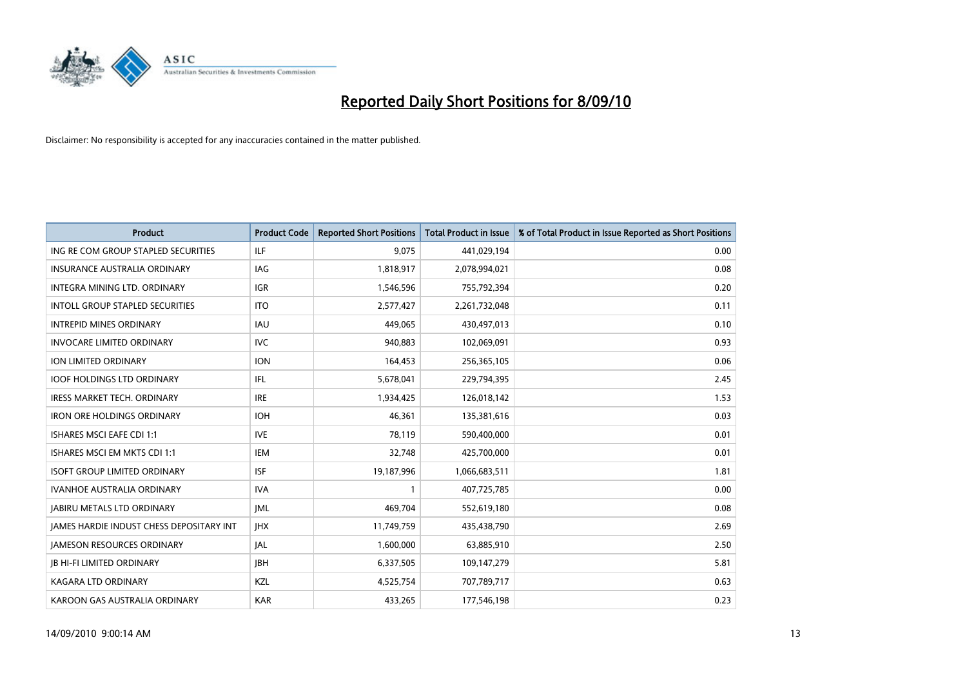

| <b>Product</b>                                  | <b>Product Code</b> | <b>Reported Short Positions</b> | <b>Total Product in Issue</b> | % of Total Product in Issue Reported as Short Positions |
|-------------------------------------------------|---------------------|---------------------------------|-------------------------------|---------------------------------------------------------|
| ING RE COM GROUP STAPLED SECURITIES             | ILF                 | 9,075                           | 441,029,194                   | 0.00                                                    |
| INSURANCE AUSTRALIA ORDINARY                    | IAG                 | 1,818,917                       | 2,078,994,021                 | 0.08                                                    |
| INTEGRA MINING LTD, ORDINARY                    | <b>IGR</b>          | 1,546,596                       | 755,792,394                   | 0.20                                                    |
| INTOLL GROUP STAPLED SECURITIES                 | <b>ITO</b>          | 2,577,427                       | 2,261,732,048                 | 0.11                                                    |
| <b>INTREPID MINES ORDINARY</b>                  | <b>IAU</b>          | 449.065                         | 430,497,013                   | 0.10                                                    |
| <b>INVOCARE LIMITED ORDINARY</b>                | <b>IVC</b>          | 940,883                         | 102,069,091                   | 0.93                                                    |
| ION LIMITED ORDINARY                            | <b>ION</b>          | 164,453                         | 256,365,105                   | 0.06                                                    |
| <b>IOOF HOLDINGS LTD ORDINARY</b>               | <b>IFL</b>          | 5,678,041                       | 229,794,395                   | 2.45                                                    |
| IRESS MARKET TECH. ORDINARY                     | <b>IRE</b>          | 1,934,425                       | 126,018,142                   | 1.53                                                    |
| <b>IRON ORE HOLDINGS ORDINARY</b>               | <b>IOH</b>          | 46.361                          | 135,381,616                   | 0.03                                                    |
| ISHARES MSCI EAFE CDI 1:1                       | <b>IVE</b>          | 78,119                          | 590,400,000                   | 0.01                                                    |
| ISHARES MSCI EM MKTS CDI 1:1                    | <b>IEM</b>          | 32,748                          | 425,700,000                   | 0.01                                                    |
| <b>ISOFT GROUP LIMITED ORDINARY</b>             | <b>ISF</b>          | 19,187,996                      | 1,066,683,511                 | 1.81                                                    |
| <b>IVANHOE AUSTRALIA ORDINARY</b>               | <b>IVA</b>          |                                 | 407,725,785                   | 0.00                                                    |
| <b>JABIRU METALS LTD ORDINARY</b>               | <b>JML</b>          | 469,704                         | 552,619,180                   | 0.08                                                    |
| <b>JAMES HARDIE INDUST CHESS DEPOSITARY INT</b> | <b>IHX</b>          | 11,749,759                      | 435,438,790                   | 2.69                                                    |
| <b>JAMESON RESOURCES ORDINARY</b>               | <b>JAL</b>          | 1,600,000                       | 63,885,910                    | 2.50                                                    |
| <b>JB HI-FI LIMITED ORDINARY</b>                | <b>IBH</b>          | 6,337,505                       | 109,147,279                   | 5.81                                                    |
| <b>KAGARA LTD ORDINARY</b>                      | KZL                 | 4,525,754                       | 707,789,717                   | 0.63                                                    |
| KAROON GAS AUSTRALIA ORDINARY                   | <b>KAR</b>          | 433.265                         | 177,546,198                   | 0.23                                                    |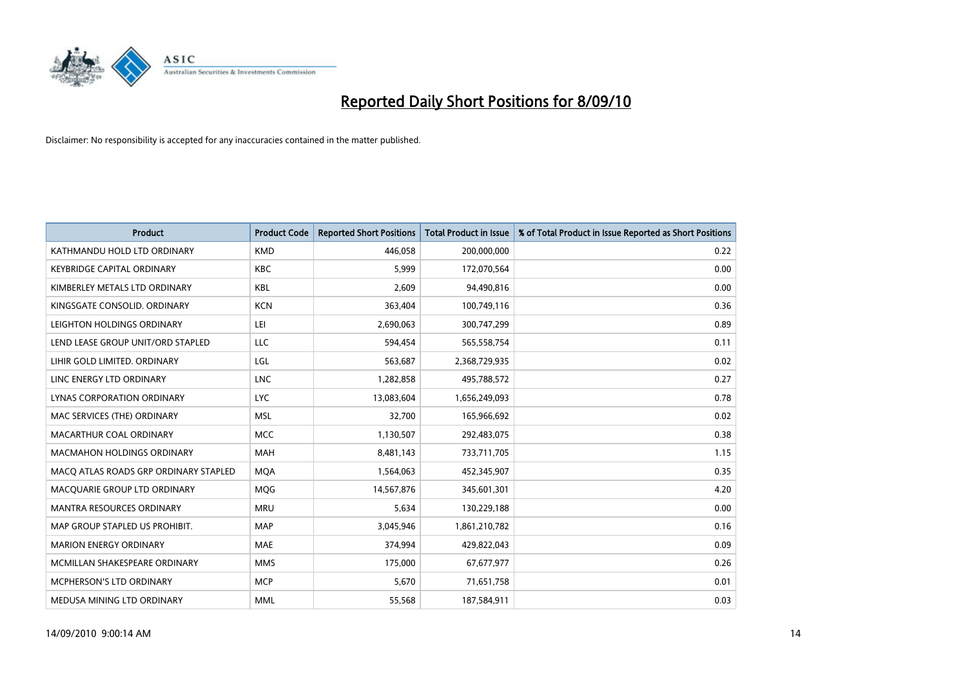

| <b>Product</b>                        | <b>Product Code</b> | <b>Reported Short Positions</b> | Total Product in Issue | % of Total Product in Issue Reported as Short Positions |
|---------------------------------------|---------------------|---------------------------------|------------------------|---------------------------------------------------------|
| KATHMANDU HOLD LTD ORDINARY           | <b>KMD</b>          | 446,058                         | 200,000,000            | 0.22                                                    |
| <b>KEYBRIDGE CAPITAL ORDINARY</b>     | <b>KBC</b>          | 5.999                           | 172,070,564            | 0.00                                                    |
| KIMBERLEY METALS LTD ORDINARY         | <b>KBL</b>          | 2,609                           | 94,490,816             | 0.00                                                    |
| KINGSGATE CONSOLID. ORDINARY          | <b>KCN</b>          | 363,404                         | 100,749,116            | 0.36                                                    |
| LEIGHTON HOLDINGS ORDINARY            | LEI                 | 2,690,063                       | 300,747,299            | 0.89                                                    |
| LEND LEASE GROUP UNIT/ORD STAPLED     | LLC                 | 594,454                         | 565,558,754            | 0.11                                                    |
| LIHIR GOLD LIMITED. ORDINARY          | LGL                 | 563,687                         | 2,368,729,935          | 0.02                                                    |
| LINC ENERGY LTD ORDINARY              | <b>LNC</b>          | 1,282,858                       | 495,788,572            | 0.27                                                    |
| LYNAS CORPORATION ORDINARY            | <b>LYC</b>          | 13,083,604                      | 1,656,249,093          | 0.78                                                    |
| MAC SERVICES (THE) ORDINARY           | <b>MSL</b>          | 32.700                          | 165,966,692            | 0.02                                                    |
| MACARTHUR COAL ORDINARY               | <b>MCC</b>          | 1,130,507                       | 292,483,075            | 0.38                                                    |
| MACMAHON HOLDINGS ORDINARY            | MAH                 | 8,481,143                       | 733,711,705            | 1.15                                                    |
| MACQ ATLAS ROADS GRP ORDINARY STAPLED | <b>MOA</b>          | 1,564,063                       | 452,345,907            | 0.35                                                    |
| MACOUARIE GROUP LTD ORDINARY          | <b>MOG</b>          | 14,567,876                      | 345,601,301            | 4.20                                                    |
| <b>MANTRA RESOURCES ORDINARY</b>      | <b>MRU</b>          | 5,634                           | 130,229,188            | 0.00                                                    |
| MAP GROUP STAPLED US PROHIBIT.        | <b>MAP</b>          | 3,045,946                       | 1,861,210,782          | 0.16                                                    |
| <b>MARION ENERGY ORDINARY</b>         | <b>MAE</b>          | 374,994                         | 429,822,043            | 0.09                                                    |
| MCMILLAN SHAKESPEARE ORDINARY         | <b>MMS</b>          | 175,000                         | 67,677,977             | 0.26                                                    |
| <b>MCPHERSON'S LTD ORDINARY</b>       | <b>MCP</b>          | 5.670                           | 71,651,758             | 0.01                                                    |
| MEDUSA MINING LTD ORDINARY            | <b>MML</b>          | 55,568                          | 187,584,911            | 0.03                                                    |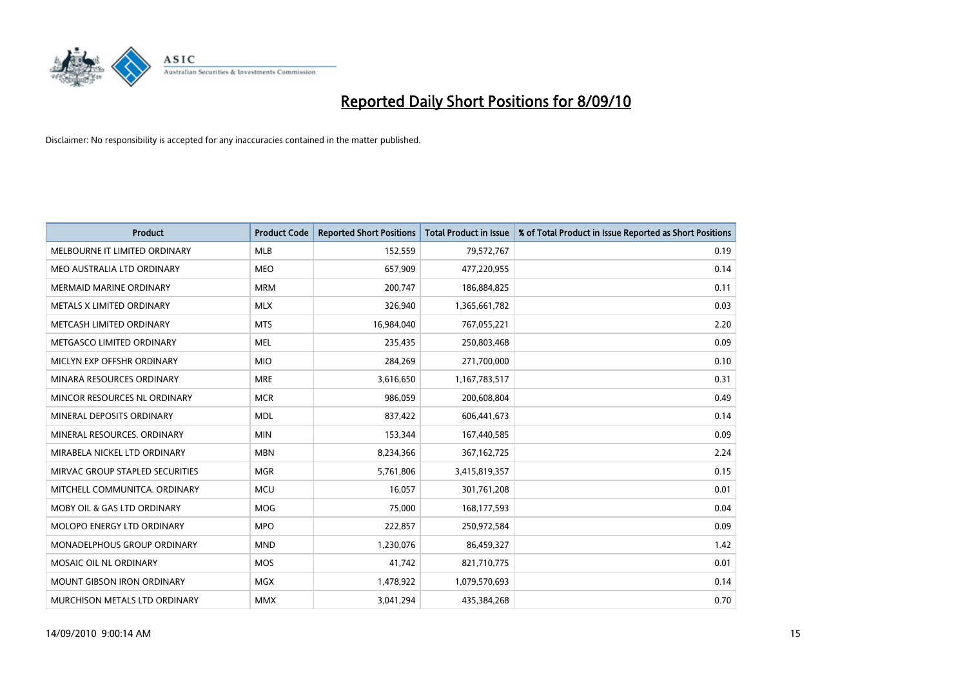

| <b>Product</b>                    | <b>Product Code</b> | <b>Reported Short Positions</b> | <b>Total Product in Issue</b> | % of Total Product in Issue Reported as Short Positions |
|-----------------------------------|---------------------|---------------------------------|-------------------------------|---------------------------------------------------------|
| MELBOURNE IT LIMITED ORDINARY     | <b>MLB</b>          | 152,559                         | 79,572,767                    | 0.19                                                    |
| MEO AUSTRALIA LTD ORDINARY        | <b>MEO</b>          | 657,909                         | 477,220,955                   | 0.14                                                    |
| <b>MERMAID MARINE ORDINARY</b>    | <b>MRM</b>          | 200,747                         | 186,884,825                   | 0.11                                                    |
| METALS X LIMITED ORDINARY         | <b>MLX</b>          | 326,940                         | 1,365,661,782                 | 0.03                                                    |
| METCASH LIMITED ORDINARY          | <b>MTS</b>          | 16,984,040                      | 767,055,221                   | 2.20                                                    |
| METGASCO LIMITED ORDINARY         | <b>MEL</b>          | 235,435                         | 250,803,468                   | 0.09                                                    |
| MICLYN EXP OFFSHR ORDINARY        | <b>MIO</b>          | 284,269                         | 271,700,000                   | 0.10                                                    |
| MINARA RESOURCES ORDINARY         | <b>MRE</b>          | 3,616,650                       | 1,167,783,517                 | 0.31                                                    |
| MINCOR RESOURCES NL ORDINARY      | <b>MCR</b>          | 986,059                         | 200,608,804                   | 0.49                                                    |
| MINERAL DEPOSITS ORDINARY         | <b>MDL</b>          | 837,422                         | 606,441,673                   | 0.14                                                    |
| MINERAL RESOURCES, ORDINARY       | <b>MIN</b>          | 153,344                         | 167,440,585                   | 0.09                                                    |
| MIRABELA NICKEL LTD ORDINARY      | <b>MBN</b>          | 8,234,366                       | 367, 162, 725                 | 2.24                                                    |
| MIRVAC GROUP STAPLED SECURITIES   | <b>MGR</b>          | 5,761,806                       | 3,415,819,357                 | 0.15                                                    |
| MITCHELL COMMUNITCA, ORDINARY     | <b>MCU</b>          | 16,057                          | 301,761,208                   | 0.01                                                    |
| MOBY OIL & GAS LTD ORDINARY       | <b>MOG</b>          | 75.000                          | 168,177,593                   | 0.04                                                    |
| <b>MOLOPO ENERGY LTD ORDINARY</b> | <b>MPO</b>          | 222,857                         | 250,972,584                   | 0.09                                                    |
| MONADELPHOUS GROUP ORDINARY       | <b>MND</b>          | 1,230,076                       | 86,459,327                    | 1.42                                                    |
| MOSAIC OIL NL ORDINARY            | <b>MOS</b>          | 41,742                          | 821,710,775                   | 0.01                                                    |
| <b>MOUNT GIBSON IRON ORDINARY</b> | <b>MGX</b>          | 1,478,922                       | 1,079,570,693                 | 0.14                                                    |
| MURCHISON METALS LTD ORDINARY     | <b>MMX</b>          | 3,041,294                       | 435,384,268                   | 0.70                                                    |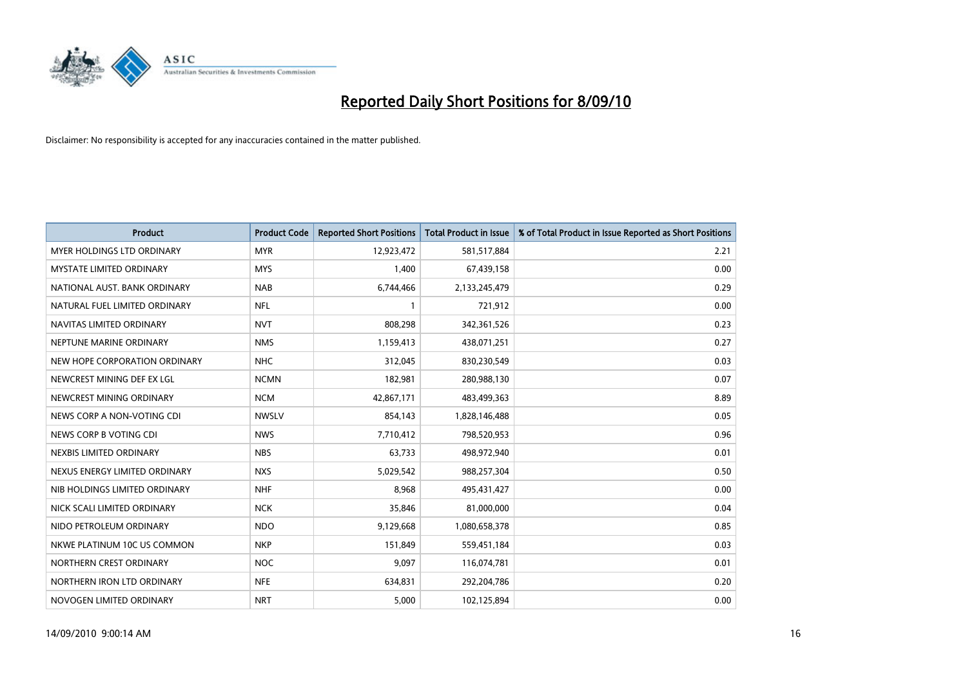

| <b>Product</b>                    | <b>Product Code</b> | <b>Reported Short Positions</b> | <b>Total Product in Issue</b> | % of Total Product in Issue Reported as Short Positions |
|-----------------------------------|---------------------|---------------------------------|-------------------------------|---------------------------------------------------------|
| <b>MYER HOLDINGS LTD ORDINARY</b> | <b>MYR</b>          | 12,923,472                      | 581,517,884                   | 2.21                                                    |
| <b>MYSTATE LIMITED ORDINARY</b>   | <b>MYS</b>          | 1,400                           | 67,439,158                    | 0.00                                                    |
| NATIONAL AUST. BANK ORDINARY      | <b>NAB</b>          | 6,744,466                       | 2,133,245,479                 | 0.29                                                    |
| NATURAL FUEL LIMITED ORDINARY     | <b>NFL</b>          |                                 | 721,912                       | 0.00                                                    |
| NAVITAS LIMITED ORDINARY          | <b>NVT</b>          | 808,298                         | 342,361,526                   | 0.23                                                    |
| NEPTUNE MARINE ORDINARY           | <b>NMS</b>          | 1,159,413                       | 438,071,251                   | 0.27                                                    |
| NEW HOPE CORPORATION ORDINARY     | <b>NHC</b>          | 312,045                         | 830,230,549                   | 0.03                                                    |
| NEWCREST MINING DEF EX LGL        | <b>NCMN</b>         | 182,981                         | 280,988,130                   | 0.07                                                    |
| NEWCREST MINING ORDINARY          | <b>NCM</b>          | 42,867,171                      | 483,499,363                   | 8.89                                                    |
| NEWS CORP A NON-VOTING CDI        | <b>NWSLV</b>        | 854,143                         | 1,828,146,488                 | 0.05                                                    |
| NEWS CORP B VOTING CDI            | <b>NWS</b>          | 7,710,412                       | 798,520,953                   | 0.96                                                    |
| NEXBIS LIMITED ORDINARY           | <b>NBS</b>          | 63,733                          | 498,972,940                   | 0.01                                                    |
| NEXUS ENERGY LIMITED ORDINARY     | <b>NXS</b>          | 5,029,542                       | 988,257,304                   | 0.50                                                    |
| NIB HOLDINGS LIMITED ORDINARY     | <b>NHF</b>          | 8,968                           | 495,431,427                   | 0.00                                                    |
| NICK SCALI LIMITED ORDINARY       | <b>NCK</b>          | 35.846                          | 81,000,000                    | 0.04                                                    |
| NIDO PETROLEUM ORDINARY           | <b>NDO</b>          | 9,129,668                       | 1,080,658,378                 | 0.85                                                    |
| NKWE PLATINUM 10C US COMMON       | <b>NKP</b>          | 151,849                         | 559,451,184                   | 0.03                                                    |
| NORTHERN CREST ORDINARY           | <b>NOC</b>          | 9,097                           | 116,074,781                   | 0.01                                                    |
| NORTHERN IRON LTD ORDINARY        | <b>NFE</b>          | 634,831                         | 292,204,786                   | 0.20                                                    |
| NOVOGEN LIMITED ORDINARY          | <b>NRT</b>          | 5,000                           | 102,125,894                   | 0.00                                                    |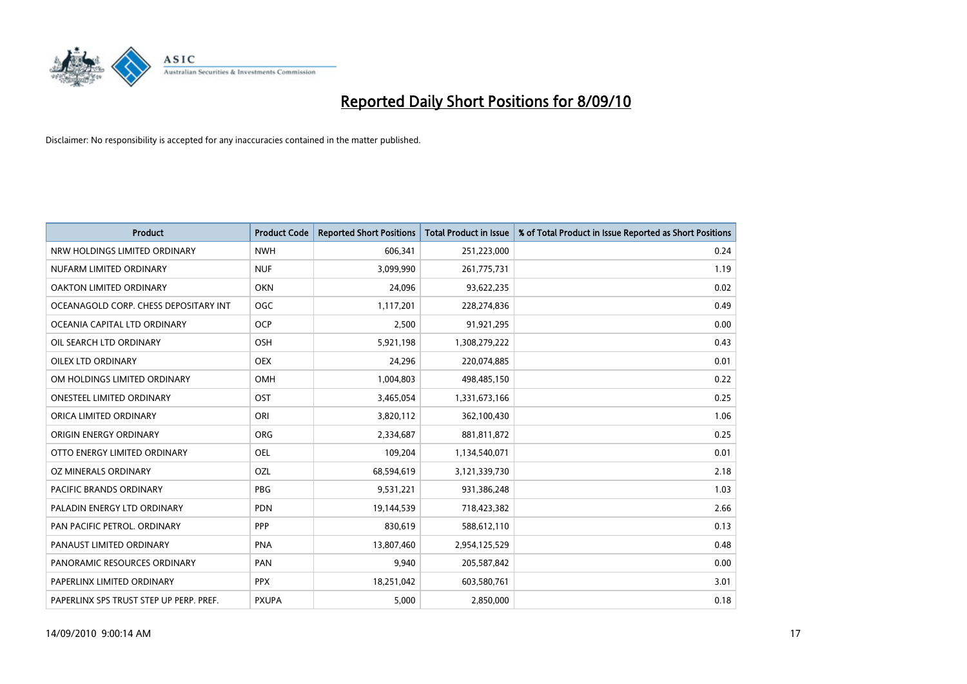

| <b>Product</b>                          | <b>Product Code</b> | <b>Reported Short Positions</b> | <b>Total Product in Issue</b> | % of Total Product in Issue Reported as Short Positions |
|-----------------------------------------|---------------------|---------------------------------|-------------------------------|---------------------------------------------------------|
| NRW HOLDINGS LIMITED ORDINARY           | <b>NWH</b>          | 606,341                         | 251,223,000                   | 0.24                                                    |
| NUFARM LIMITED ORDINARY                 | <b>NUF</b>          | 3,099,990                       | 261,775,731                   | 1.19                                                    |
| OAKTON LIMITED ORDINARY                 | <b>OKN</b>          | 24,096                          | 93,622,235                    | 0.02                                                    |
| OCEANAGOLD CORP. CHESS DEPOSITARY INT   | OGC                 | 1,117,201                       | 228,274,836                   | 0.49                                                    |
| OCEANIA CAPITAL LTD ORDINARY            | <b>OCP</b>          | 2,500                           | 91,921,295                    | 0.00                                                    |
| OIL SEARCH LTD ORDINARY                 | <b>OSH</b>          | 5,921,198                       | 1,308,279,222                 | 0.43                                                    |
| <b>OILEX LTD ORDINARY</b>               | <b>OEX</b>          | 24,296                          | 220,074,885                   | 0.01                                                    |
| OM HOLDINGS LIMITED ORDINARY            | <b>OMH</b>          | 1,004,803                       | 498,485,150                   | 0.22                                                    |
| ONESTEEL LIMITED ORDINARY               | OST                 | 3,465,054                       | 1,331,673,166                 | 0.25                                                    |
| ORICA LIMITED ORDINARY                  | ORI                 | 3,820,112                       | 362,100,430                   | 1.06                                                    |
| ORIGIN ENERGY ORDINARY                  | <b>ORG</b>          | 2,334,687                       | 881,811,872                   | 0.25                                                    |
| OTTO ENERGY LIMITED ORDINARY            | OEL                 | 109,204                         | 1,134,540,071                 | 0.01                                                    |
| OZ MINERALS ORDINARY                    | OZL                 | 68,594,619                      | 3,121,339,730                 | 2.18                                                    |
| PACIFIC BRANDS ORDINARY                 | <b>PBG</b>          | 9,531,221                       | 931,386,248                   | 1.03                                                    |
| PALADIN ENERGY LTD ORDINARY             | <b>PDN</b>          | 19,144,539                      | 718,423,382                   | 2.66                                                    |
| PAN PACIFIC PETROL. ORDINARY            | PPP                 | 830,619                         | 588,612,110                   | 0.13                                                    |
| PANAUST LIMITED ORDINARY                | <b>PNA</b>          | 13,807,460                      | 2,954,125,529                 | 0.48                                                    |
| PANORAMIC RESOURCES ORDINARY            | PAN                 | 9,940                           | 205,587,842                   | 0.00                                                    |
| PAPERLINX LIMITED ORDINARY              | <b>PPX</b>          | 18,251,042                      | 603,580,761                   | 3.01                                                    |
| PAPERLINX SPS TRUST STEP UP PERP. PREF. | <b>PXUPA</b>        | 5,000                           | 2,850,000                     | 0.18                                                    |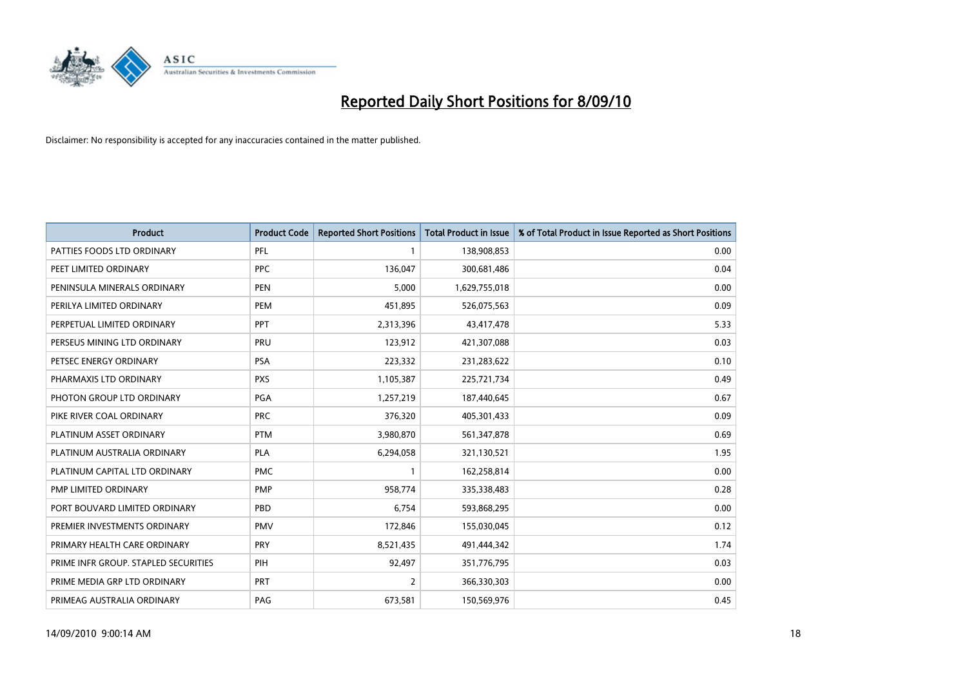

| <b>Product</b>                       | <b>Product Code</b> | <b>Reported Short Positions</b> | <b>Total Product in Issue</b> | % of Total Product in Issue Reported as Short Positions |
|--------------------------------------|---------------------|---------------------------------|-------------------------------|---------------------------------------------------------|
| PATTIES FOODS LTD ORDINARY           | PFL                 |                                 | 138,908,853                   | 0.00                                                    |
| PEET LIMITED ORDINARY                | <b>PPC</b>          | 136,047                         | 300,681,486                   | 0.04                                                    |
| PENINSULA MINERALS ORDINARY          | <b>PEN</b>          | 5,000                           | 1,629,755,018                 | 0.00                                                    |
| PERILYA LIMITED ORDINARY             | PEM                 | 451,895                         | 526,075,563                   | 0.09                                                    |
| PERPETUAL LIMITED ORDINARY           | <b>PPT</b>          | 2,313,396                       | 43,417,478                    | 5.33                                                    |
| PERSEUS MINING LTD ORDINARY          | PRU                 | 123,912                         | 421,307,088                   | 0.03                                                    |
| PETSEC ENERGY ORDINARY               | <b>PSA</b>          | 223,332                         | 231,283,622                   | 0.10                                                    |
| PHARMAXIS LTD ORDINARY               | <b>PXS</b>          | 1,105,387                       | 225,721,734                   | 0.49                                                    |
| PHOTON GROUP LTD ORDINARY            | PGA                 | 1,257,219                       | 187,440,645                   | 0.67                                                    |
| PIKE RIVER COAL ORDINARY             | <b>PRC</b>          | 376,320                         | 405,301,433                   | 0.09                                                    |
| PLATINUM ASSET ORDINARY              | <b>PTM</b>          | 3,980,870                       | 561,347,878                   | 0.69                                                    |
| PLATINUM AUSTRALIA ORDINARY          | <b>PLA</b>          | 6,294,058                       | 321,130,521                   | 1.95                                                    |
| PLATINUM CAPITAL LTD ORDINARY        | <b>PMC</b>          |                                 | 162,258,814                   | 0.00                                                    |
| PMP LIMITED ORDINARY                 | <b>PMP</b>          | 958,774                         | 335,338,483                   | 0.28                                                    |
| PORT BOUVARD LIMITED ORDINARY        | PBD                 | 6.754                           | 593,868,295                   | 0.00                                                    |
| PREMIER INVESTMENTS ORDINARY         | <b>PMV</b>          | 172,846                         | 155,030,045                   | 0.12                                                    |
| PRIMARY HEALTH CARE ORDINARY         | <b>PRY</b>          | 8,521,435                       | 491,444,342                   | 1.74                                                    |
| PRIME INFR GROUP. STAPLED SECURITIES | PIH                 | 92,497                          | 351,776,795                   | 0.03                                                    |
| PRIME MEDIA GRP LTD ORDINARY         | <b>PRT</b>          | 2                               | 366,330,303                   | 0.00                                                    |
| PRIMEAG AUSTRALIA ORDINARY           | PAG                 | 673,581                         | 150,569,976                   | 0.45                                                    |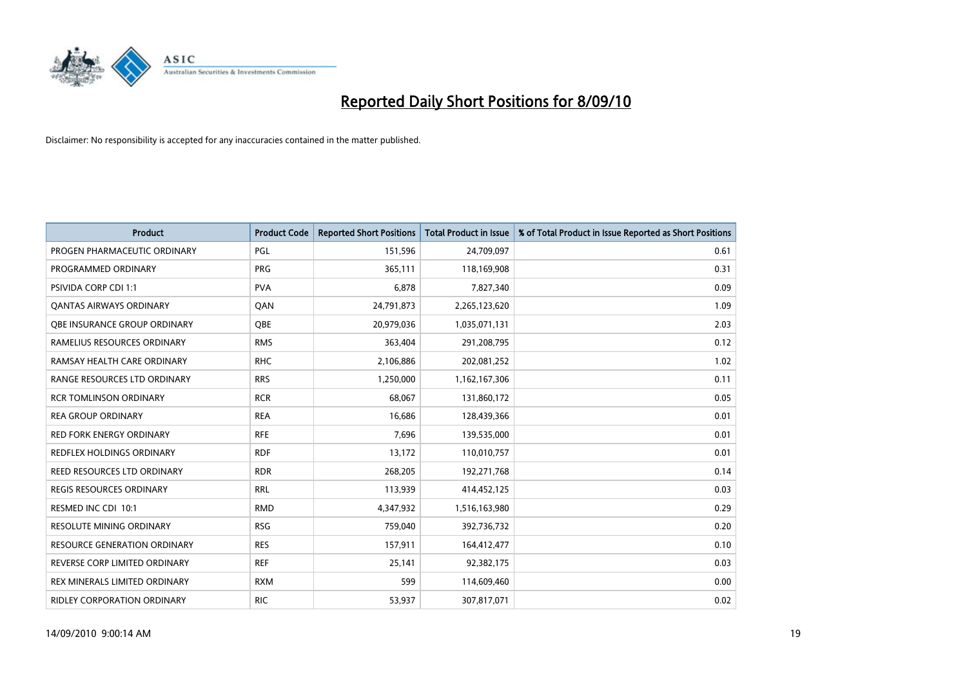

| <b>Product</b>                     | <b>Product Code</b> | <b>Reported Short Positions</b> | <b>Total Product in Issue</b> | % of Total Product in Issue Reported as Short Positions |
|------------------------------------|---------------------|---------------------------------|-------------------------------|---------------------------------------------------------|
| PROGEN PHARMACEUTIC ORDINARY       | PGL                 | 151,596                         | 24,709,097                    | 0.61                                                    |
| PROGRAMMED ORDINARY                | <b>PRG</b>          | 365,111                         | 118,169,908                   | 0.31                                                    |
| PSIVIDA CORP CDI 1:1               | <b>PVA</b>          | 6,878                           | 7,827,340                     | 0.09                                                    |
| <b>QANTAS AIRWAYS ORDINARY</b>     | QAN                 | 24,791,873                      | 2,265,123,620                 | 1.09                                                    |
| OBE INSURANCE GROUP ORDINARY       | OBE                 | 20,979,036                      | 1,035,071,131                 | 2.03                                                    |
| RAMELIUS RESOURCES ORDINARY        | <b>RMS</b>          | 363,404                         | 291,208,795                   | 0.12                                                    |
| RAMSAY HEALTH CARE ORDINARY        | <b>RHC</b>          | 2,106,886                       | 202,081,252                   | 1.02                                                    |
| RANGE RESOURCES LTD ORDINARY       | <b>RRS</b>          | 1,250,000                       | 1,162,167,306                 | 0.11                                                    |
| <b>RCR TOMLINSON ORDINARY</b>      | <b>RCR</b>          | 68.067                          | 131,860,172                   | 0.05                                                    |
| <b>REA GROUP ORDINARY</b>          | <b>REA</b>          | 16,686                          | 128,439,366                   | 0.01                                                    |
| <b>RED FORK ENERGY ORDINARY</b>    | <b>RFE</b>          | 7,696                           | 139,535,000                   | 0.01                                                    |
| <b>REDFLEX HOLDINGS ORDINARY</b>   | <b>RDF</b>          | 13,172                          | 110,010,757                   | 0.01                                                    |
| REED RESOURCES LTD ORDINARY        | <b>RDR</b>          | 268,205                         | 192,271,768                   | 0.14                                                    |
| <b>REGIS RESOURCES ORDINARY</b>    | <b>RRL</b>          | 113,939                         | 414,452,125                   | 0.03                                                    |
| RESMED INC CDI 10:1                | <b>RMD</b>          | 4,347,932                       | 1,516,163,980                 | 0.29                                                    |
| RESOLUTE MINING ORDINARY           | <b>RSG</b>          | 759,040                         | 392,736,732                   | 0.20                                                    |
| RESOURCE GENERATION ORDINARY       | <b>RES</b>          | 157,911                         | 164,412,477                   | 0.10                                                    |
| REVERSE CORP LIMITED ORDINARY      | <b>REF</b>          | 25,141                          | 92,382,175                    | 0.03                                                    |
| REX MINERALS LIMITED ORDINARY      | <b>RXM</b>          | 599                             | 114,609,460                   | 0.00                                                    |
| <b>RIDLEY CORPORATION ORDINARY</b> | <b>RIC</b>          | 53,937                          | 307,817,071                   | 0.02                                                    |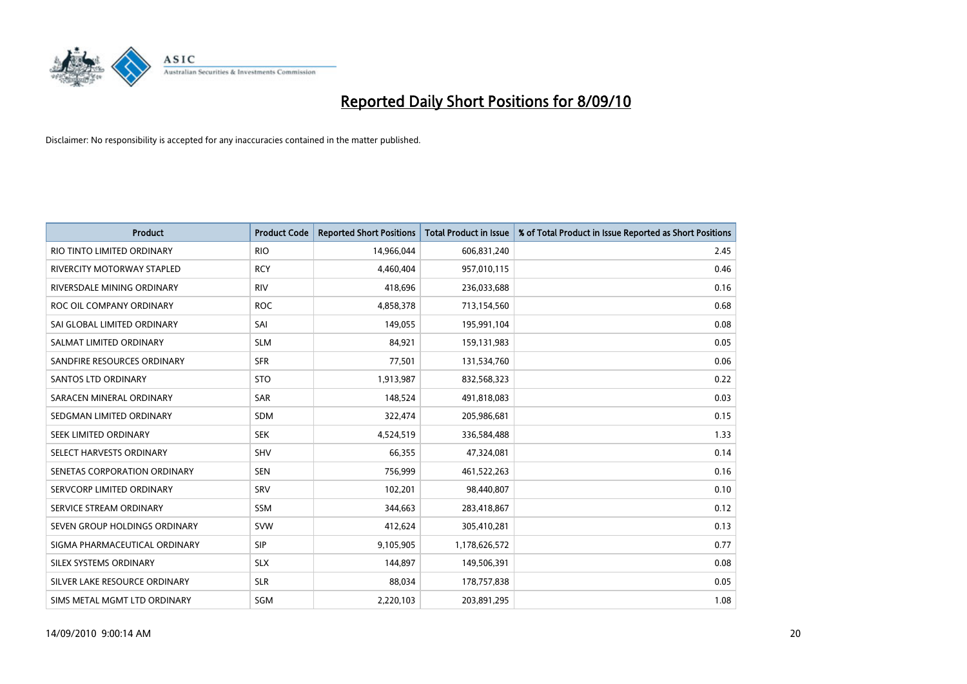

| <b>Product</b>                | <b>Product Code</b> | <b>Reported Short Positions</b> | <b>Total Product in Issue</b> | % of Total Product in Issue Reported as Short Positions |
|-------------------------------|---------------------|---------------------------------|-------------------------------|---------------------------------------------------------|
| RIO TINTO LIMITED ORDINARY    | <b>RIO</b>          | 14,966,044                      | 606,831,240                   | 2.45                                                    |
| RIVERCITY MOTORWAY STAPLED    | <b>RCY</b>          | 4,460,404                       | 957,010,115                   | 0.46                                                    |
| RIVERSDALE MINING ORDINARY    | <b>RIV</b>          | 418,696                         | 236,033,688                   | 0.16                                                    |
| ROC OIL COMPANY ORDINARY      | <b>ROC</b>          | 4,858,378                       | 713,154,560                   | 0.68                                                    |
| SAI GLOBAL LIMITED ORDINARY   | SAI                 | 149,055                         | 195,991,104                   | 0.08                                                    |
| SALMAT LIMITED ORDINARY       | <b>SLM</b>          | 84,921                          | 159,131,983                   | 0.05                                                    |
| SANDFIRE RESOURCES ORDINARY   | <b>SFR</b>          | 77,501                          | 131,534,760                   | 0.06                                                    |
| <b>SANTOS LTD ORDINARY</b>    | <b>STO</b>          | 1,913,987                       | 832,568,323                   | 0.22                                                    |
| SARACEN MINERAL ORDINARY      | SAR                 | 148,524                         | 491,818,083                   | 0.03                                                    |
| SEDGMAN LIMITED ORDINARY      | <b>SDM</b>          | 322,474                         | 205,986,681                   | 0.15                                                    |
| SEEK LIMITED ORDINARY         | <b>SEK</b>          | 4,524,519                       | 336,584,488                   | 1.33                                                    |
| SELECT HARVESTS ORDINARY      | SHV                 | 66,355                          | 47,324,081                    | 0.14                                                    |
| SENETAS CORPORATION ORDINARY  | <b>SEN</b>          | 756,999                         | 461,522,263                   | 0.16                                                    |
| SERVCORP LIMITED ORDINARY     | SRV                 | 102,201                         | 98,440,807                    | 0.10                                                    |
| SERVICE STREAM ORDINARY       | SSM                 | 344,663                         | 283,418,867                   | 0.12                                                    |
| SEVEN GROUP HOLDINGS ORDINARY | <b>SVW</b>          | 412,624                         | 305,410,281                   | 0.13                                                    |
| SIGMA PHARMACEUTICAL ORDINARY | SIP                 | 9,105,905                       | 1,178,626,572                 | 0.77                                                    |
| SILEX SYSTEMS ORDINARY        | <b>SLX</b>          | 144,897                         | 149,506,391                   | 0.08                                                    |
| SILVER LAKE RESOURCE ORDINARY | <b>SLR</b>          | 88,034                          | 178,757,838                   | 0.05                                                    |
| SIMS METAL MGMT LTD ORDINARY  | SGM                 | 2,220,103                       | 203,891,295                   | 1.08                                                    |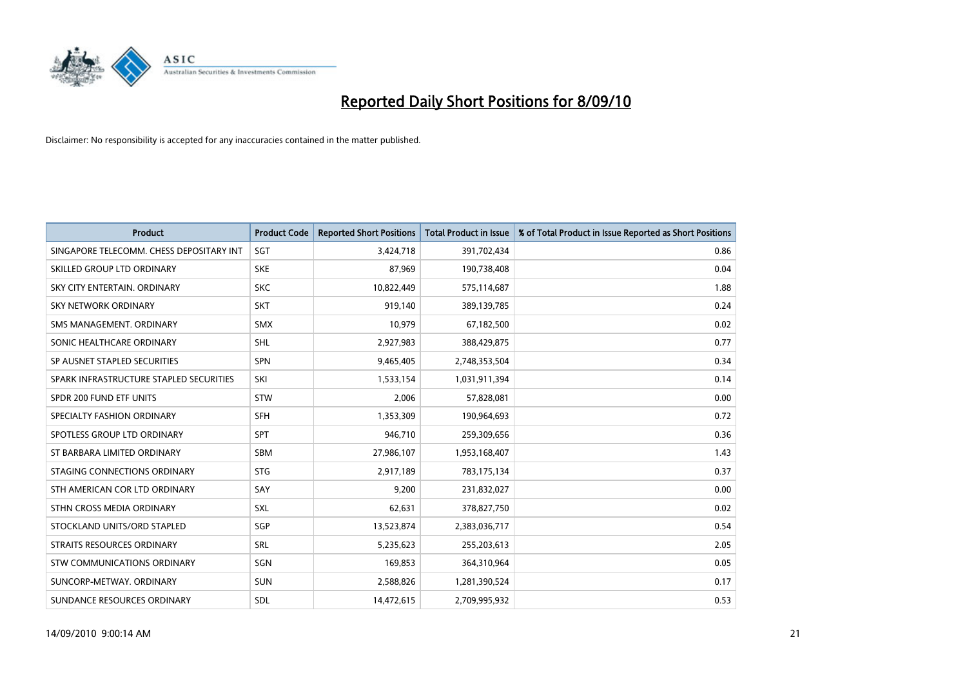

| <b>Product</b>                           | <b>Product Code</b> | <b>Reported Short Positions</b> | <b>Total Product in Issue</b> | % of Total Product in Issue Reported as Short Positions |
|------------------------------------------|---------------------|---------------------------------|-------------------------------|---------------------------------------------------------|
| SINGAPORE TELECOMM. CHESS DEPOSITARY INT | SGT                 | 3,424,718                       | 391,702,434                   | 0.86                                                    |
| SKILLED GROUP LTD ORDINARY               | <b>SKE</b>          | 87,969                          | 190,738,408                   | 0.04                                                    |
| SKY CITY ENTERTAIN, ORDINARY             | <b>SKC</b>          | 10,822,449                      | 575,114,687                   | 1.88                                                    |
| <b>SKY NETWORK ORDINARY</b>              | <b>SKT</b>          | 919,140                         | 389,139,785                   | 0.24                                                    |
| SMS MANAGEMENT, ORDINARY                 | <b>SMX</b>          | 10,979                          | 67,182,500                    | 0.02                                                    |
| SONIC HEALTHCARE ORDINARY                | <b>SHL</b>          | 2,927,983                       | 388,429,875                   | 0.77                                                    |
| SP AUSNET STAPLED SECURITIES             | SPN                 | 9,465,405                       | 2,748,353,504                 | 0.34                                                    |
| SPARK INFRASTRUCTURE STAPLED SECURITIES  | SKI                 | 1,533,154                       | 1,031,911,394                 | 0.14                                                    |
| SPDR 200 FUND ETF UNITS                  | <b>STW</b>          | 2,006                           | 57,828,081                    | 0.00                                                    |
| SPECIALTY FASHION ORDINARY               | <b>SFH</b>          | 1,353,309                       | 190,964,693                   | 0.72                                                    |
| SPOTLESS GROUP LTD ORDINARY              | <b>SPT</b>          | 946,710                         | 259,309,656                   | 0.36                                                    |
| ST BARBARA LIMITED ORDINARY              | <b>SBM</b>          | 27,986,107                      | 1,953,168,407                 | 1.43                                                    |
| STAGING CONNECTIONS ORDINARY             | <b>STG</b>          | 2,917,189                       | 783,175,134                   | 0.37                                                    |
| STH AMERICAN COR LTD ORDINARY            | SAY                 | 9,200                           | 231,832,027                   | 0.00                                                    |
| STHN CROSS MEDIA ORDINARY                | <b>SXL</b>          | 62,631                          | 378,827,750                   | 0.02                                                    |
| STOCKLAND UNITS/ORD STAPLED              | SGP                 | 13,523,874                      | 2,383,036,717                 | 0.54                                                    |
| STRAITS RESOURCES ORDINARY               | SRL                 | 5,235,623                       | 255,203,613                   | 2.05                                                    |
| STW COMMUNICATIONS ORDINARY              | SGN                 | 169,853                         | 364,310,964                   | 0.05                                                    |
| SUNCORP-METWAY, ORDINARY                 | <b>SUN</b>          | 2,588,826                       | 1,281,390,524                 | 0.17                                                    |
| SUNDANCE RESOURCES ORDINARY              | <b>SDL</b>          | 14,472,615                      | 2,709,995,932                 | 0.53                                                    |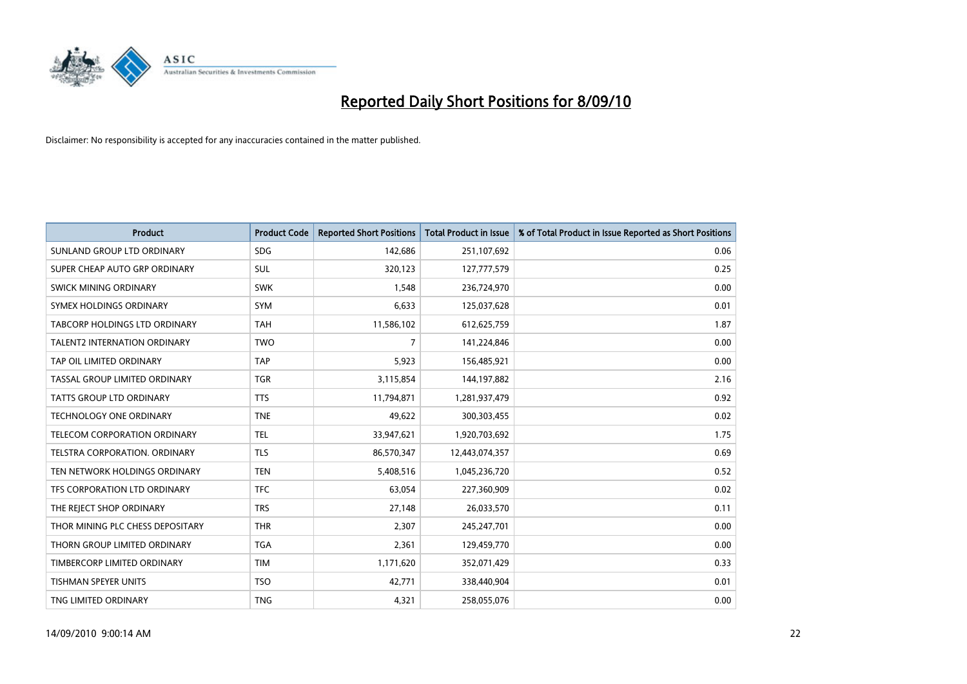

| <b>Product</b>                       | <b>Product Code</b> | <b>Reported Short Positions</b> | <b>Total Product in Issue</b> | % of Total Product in Issue Reported as Short Positions |
|--------------------------------------|---------------------|---------------------------------|-------------------------------|---------------------------------------------------------|
| SUNLAND GROUP LTD ORDINARY           | <b>SDG</b>          | 142,686                         | 251,107,692                   | 0.06                                                    |
| SUPER CHEAP AUTO GRP ORDINARY        | SUL                 | 320,123                         | 127,777,579                   | 0.25                                                    |
| SWICK MINING ORDINARY                | <b>SWK</b>          | 1,548                           | 236,724,970                   | 0.00                                                    |
| SYMEX HOLDINGS ORDINARY              | <b>SYM</b>          | 6,633                           | 125,037,628                   | 0.01                                                    |
| TABCORP HOLDINGS LTD ORDINARY        | <b>TAH</b>          | 11,586,102                      | 612,625,759                   | 1.87                                                    |
| <b>TALENT2 INTERNATION ORDINARY</b>  | <b>TWO</b>          | $\overline{7}$                  | 141,224,846                   | 0.00                                                    |
| TAP OIL LIMITED ORDINARY             | <b>TAP</b>          | 5,923                           | 156,485,921                   | 0.00                                                    |
| TASSAL GROUP LIMITED ORDINARY        | <b>TGR</b>          | 3,115,854                       | 144,197,882                   | 2.16                                                    |
| <b>TATTS GROUP LTD ORDINARY</b>      | <b>TTS</b>          | 11,794,871                      | 1,281,937,479                 | 0.92                                                    |
| <b>TECHNOLOGY ONE ORDINARY</b>       | <b>TNE</b>          | 49,622                          | 300,303,455                   | 0.02                                                    |
| TELECOM CORPORATION ORDINARY         | <b>TEL</b>          | 33,947,621                      | 1,920,703,692                 | 1.75                                                    |
| <b>TELSTRA CORPORATION, ORDINARY</b> | <b>TLS</b>          | 86,570,347                      | 12,443,074,357                | 0.69                                                    |
| TEN NETWORK HOLDINGS ORDINARY        | <b>TEN</b>          | 5,408,516                       | 1,045,236,720                 | 0.52                                                    |
| TFS CORPORATION LTD ORDINARY         | <b>TFC</b>          | 63,054                          | 227,360,909                   | 0.02                                                    |
| THE REJECT SHOP ORDINARY             | <b>TRS</b>          | 27,148                          | 26,033,570                    | 0.11                                                    |
| THOR MINING PLC CHESS DEPOSITARY     | <b>THR</b>          | 2,307                           | 245,247,701                   | 0.00                                                    |
| THORN GROUP LIMITED ORDINARY         | <b>TGA</b>          | 2,361                           | 129,459,770                   | 0.00                                                    |
| TIMBERCORP LIMITED ORDINARY          | <b>TIM</b>          | 1,171,620                       | 352,071,429                   | 0.33                                                    |
| <b>TISHMAN SPEYER UNITS</b>          | <b>TSO</b>          | 42,771                          | 338,440,904                   | 0.01                                                    |
| TNG LIMITED ORDINARY                 | <b>TNG</b>          | 4,321                           | 258,055,076                   | 0.00                                                    |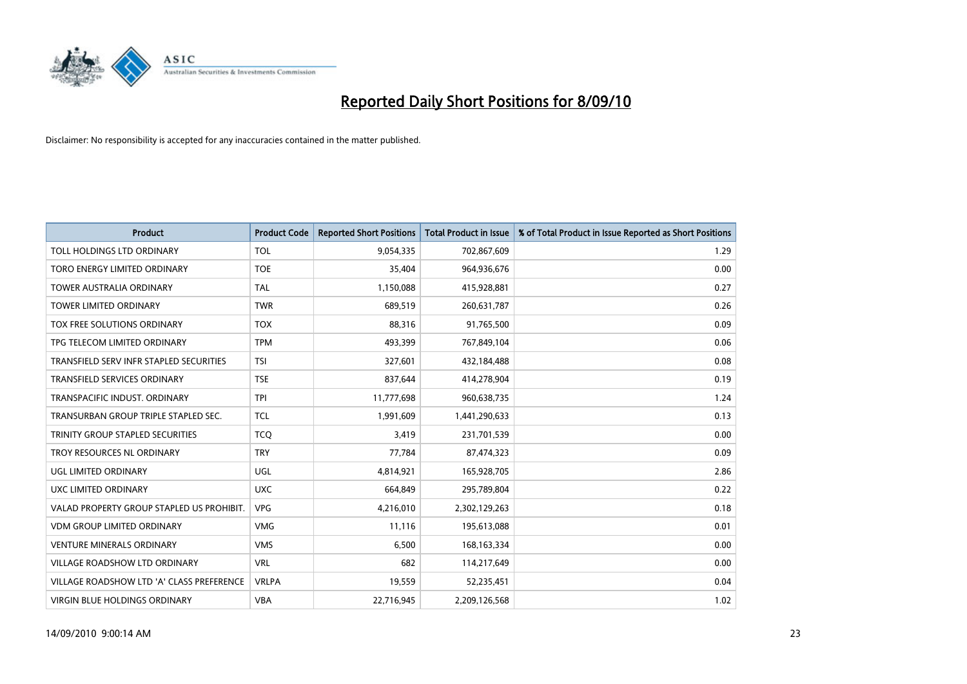

| <b>Product</b>                            | <b>Product Code</b> | <b>Reported Short Positions</b> | <b>Total Product in Issue</b> | % of Total Product in Issue Reported as Short Positions |
|-------------------------------------------|---------------------|---------------------------------|-------------------------------|---------------------------------------------------------|
| TOLL HOLDINGS LTD ORDINARY                | <b>TOL</b>          | 9,054,335                       | 702,867,609                   | 1.29                                                    |
| TORO ENERGY LIMITED ORDINARY              | <b>TOE</b>          | 35,404                          | 964,936,676                   | 0.00                                                    |
| <b>TOWER AUSTRALIA ORDINARY</b>           | <b>TAL</b>          | 1,150,088                       | 415,928,881                   | 0.27                                                    |
| TOWER LIMITED ORDINARY                    | <b>TWR</b>          | 689,519                         | 260,631,787                   | 0.26                                                    |
| TOX FREE SOLUTIONS ORDINARY               | <b>TOX</b>          | 88,316                          | 91,765,500                    | 0.09                                                    |
| TPG TELECOM LIMITED ORDINARY              | <b>TPM</b>          | 493,399                         | 767,849,104                   | 0.06                                                    |
| TRANSFIELD SERV INFR STAPLED SECURITIES   | <b>TSI</b>          | 327,601                         | 432,184,488                   | 0.08                                                    |
| TRANSFIELD SERVICES ORDINARY              | <b>TSE</b>          | 837,644                         | 414,278,904                   | 0.19                                                    |
| TRANSPACIFIC INDUST. ORDINARY             | <b>TPI</b>          | 11,777,698                      | 960,638,735                   | 1.24                                                    |
| TRANSURBAN GROUP TRIPLE STAPLED SEC.      | <b>TCL</b>          | 1,991,609                       | 1,441,290,633                 | 0.13                                                    |
| TRINITY GROUP STAPLED SECURITIES          | <b>TCQ</b>          | 3,419                           | 231,701,539                   | 0.00                                                    |
| TROY RESOURCES NL ORDINARY                | <b>TRY</b>          | 77,784                          | 87,474,323                    | 0.09                                                    |
| UGL LIMITED ORDINARY                      | UGL                 | 4,814,921                       | 165,928,705                   | 2.86                                                    |
| UXC LIMITED ORDINARY                      | <b>UXC</b>          | 664,849                         | 295,789,804                   | 0.22                                                    |
| VALAD PROPERTY GROUP STAPLED US PROHIBIT. | <b>VPG</b>          | 4,216,010                       | 2,302,129,263                 | 0.18                                                    |
| <b>VDM GROUP LIMITED ORDINARY</b>         | <b>VMG</b>          | 11,116                          | 195,613,088                   | 0.01                                                    |
| <b>VENTURE MINERALS ORDINARY</b>          | <b>VMS</b>          | 6,500                           | 168, 163, 334                 | 0.00                                                    |
| VILLAGE ROADSHOW LTD ORDINARY             | <b>VRL</b>          | 682                             | 114,217,649                   | 0.00                                                    |
| VILLAGE ROADSHOW LTD 'A' CLASS PREFERENCE | <b>VRLPA</b>        | 19,559                          | 52,235,451                    | 0.04                                                    |
| VIRGIN BLUE HOLDINGS ORDINARY             | <b>VBA</b>          | 22,716,945                      | 2,209,126,568                 | 1.02                                                    |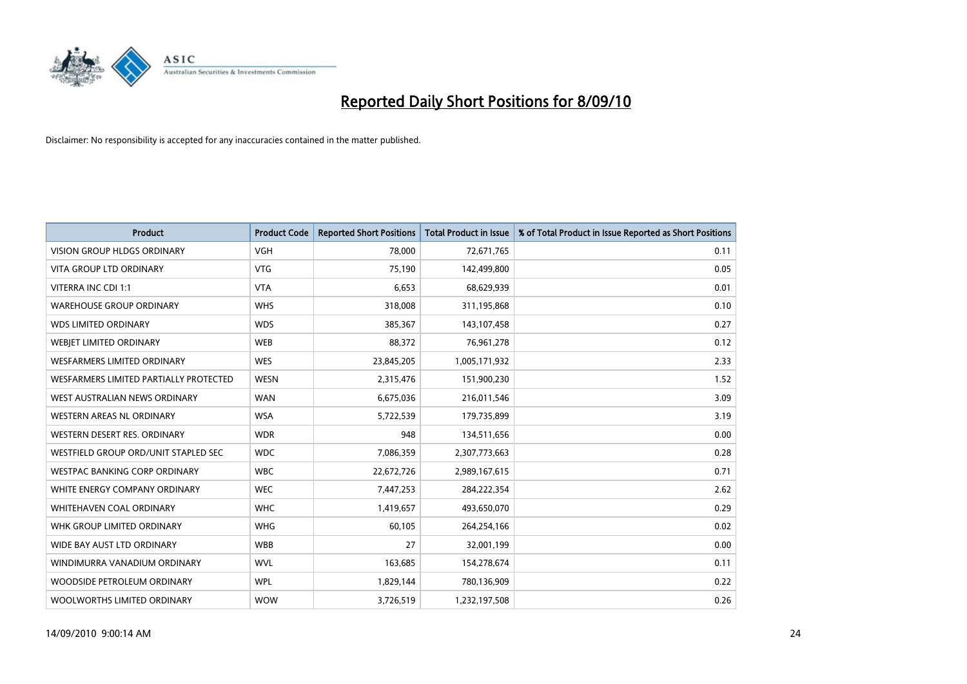

| <b>Product</b>                         | <b>Product Code</b> | <b>Reported Short Positions</b> | <b>Total Product in Issue</b> | % of Total Product in Issue Reported as Short Positions |
|----------------------------------------|---------------------|---------------------------------|-------------------------------|---------------------------------------------------------|
| <b>VISION GROUP HLDGS ORDINARY</b>     | <b>VGH</b>          | 78,000                          | 72,671,765                    | 0.11                                                    |
| <b>VITA GROUP LTD ORDINARY</b>         | <b>VTG</b>          | 75,190                          | 142,499,800                   | 0.05                                                    |
| VITERRA INC CDI 1:1                    | <b>VTA</b>          | 6,653                           | 68,629,939                    | 0.01                                                    |
| <b>WAREHOUSE GROUP ORDINARY</b>        | <b>WHS</b>          | 318,008                         | 311,195,868                   | 0.10                                                    |
| <b>WDS LIMITED ORDINARY</b>            | <b>WDS</b>          | 385,367                         | 143,107,458                   | 0.27                                                    |
| WEBJET LIMITED ORDINARY                | <b>WEB</b>          | 88,372                          | 76,961,278                    | 0.12                                                    |
| WESFARMERS LIMITED ORDINARY            | <b>WES</b>          | 23,845,205                      | 1,005,171,932                 | 2.33                                                    |
| WESFARMERS LIMITED PARTIALLY PROTECTED | <b>WESN</b>         | 2,315,476                       | 151,900,230                   | 1.52                                                    |
| WEST AUSTRALIAN NEWS ORDINARY          | <b>WAN</b>          | 6,675,036                       | 216,011,546                   | 3.09                                                    |
| WESTERN AREAS NL ORDINARY              | <b>WSA</b>          | 5,722,539                       | 179,735,899                   | 3.19                                                    |
| WESTERN DESERT RES. ORDINARY           | <b>WDR</b>          | 948                             | 134,511,656                   | 0.00                                                    |
| WESTFIELD GROUP ORD/UNIT STAPLED SEC   | <b>WDC</b>          | 7,086,359                       | 2,307,773,663                 | 0.28                                                    |
| <b>WESTPAC BANKING CORP ORDINARY</b>   | <b>WBC</b>          | 22,672,726                      | 2,989,167,615                 | 0.71                                                    |
| WHITE ENERGY COMPANY ORDINARY          | <b>WEC</b>          | 7,447,253                       | 284,222,354                   | 2.62                                                    |
| <b>WHITEHAVEN COAL ORDINARY</b>        | <b>WHC</b>          | 1,419,657                       | 493,650,070                   | 0.29                                                    |
| WHK GROUP LIMITED ORDINARY             | <b>WHG</b>          | 60,105                          | 264,254,166                   | 0.02                                                    |
| WIDE BAY AUST LTD ORDINARY             | <b>WBB</b>          | 27                              | 32,001,199                    | 0.00                                                    |
| WINDIMURRA VANADIUM ORDINARY           | <b>WVL</b>          | 163,685                         | 154,278,674                   | 0.11                                                    |
| WOODSIDE PETROLEUM ORDINARY            | <b>WPL</b>          | 1,829,144                       | 780,136,909                   | 0.22                                                    |
| WOOLWORTHS LIMITED ORDINARY            | <b>WOW</b>          | 3,726,519                       | 1,232,197,508                 | 0.26                                                    |